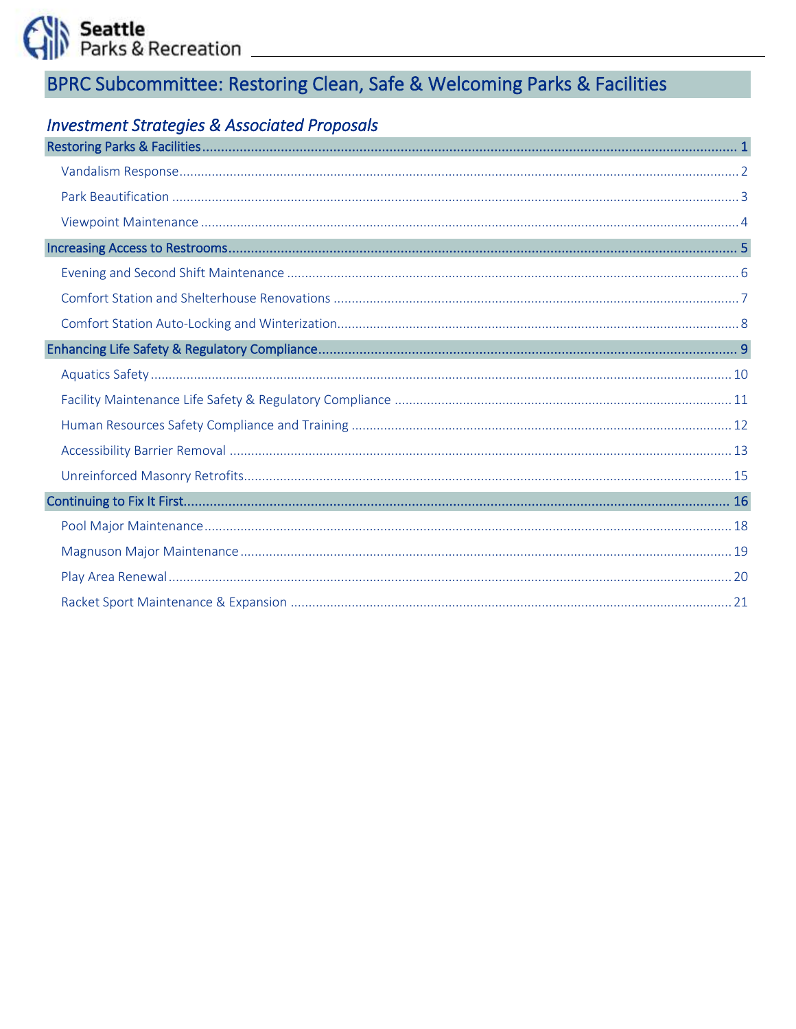Seattle<br>Parks & Recreation

# BPRC Subcommittee: Restoring Clean, Safe & Welcoming Parks & Facilities

# **Investment Strategies & Associated Proposals**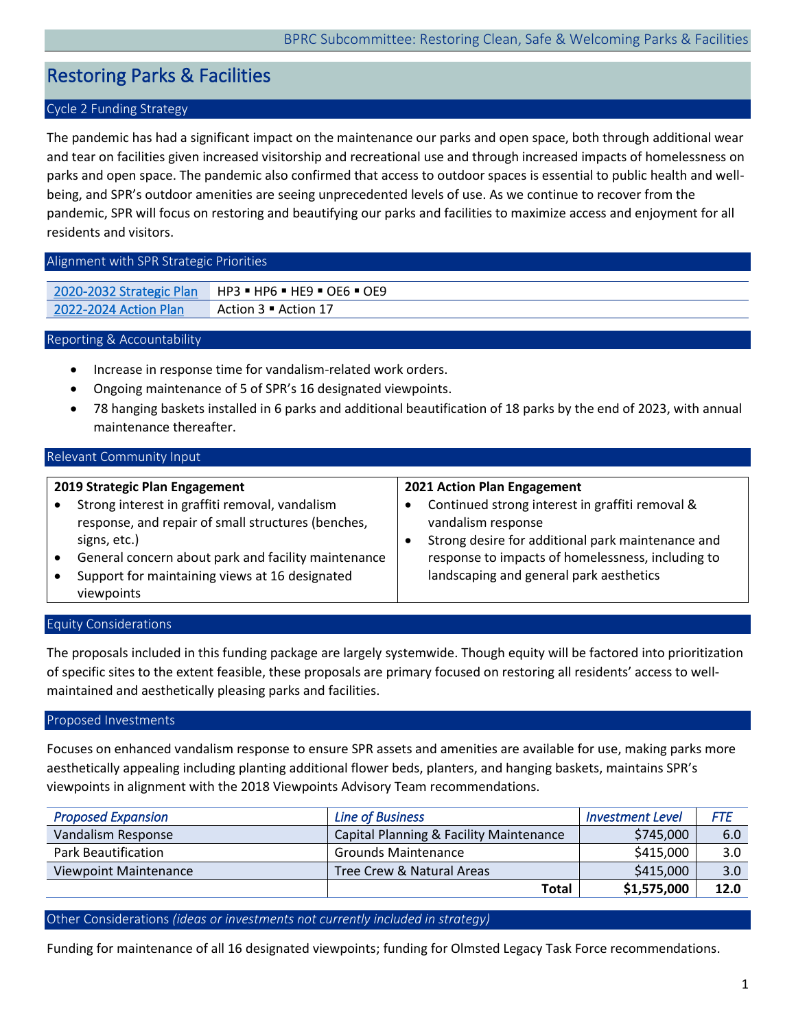# <span id="page-1-0"></span>Restoring Parks & Facilities

# Cycle 2 Funding Strategy

The pandemic has had a significant impact on the maintenance our parks and open space, both through additional wear and tear on facilities given increased visitorship and recreational use and through increased impacts of homelessness on parks and open space. The pandemic also confirmed that access to outdoor spaces is essential to public health and wellbeing, and SPR's outdoor amenities are seeing unprecedented levels of use. As we continue to recover from the pandemic, SPR will focus on restoring and beautifying our parks and facilities to maximize access and enjoyment for all residents and visitors.

#### Alignment with SPR Strategic Priorities

| 2020-2032 Strategic Plan | $\vdash$ HP3 = HP6 = HE9 = OE6 = OE9 |
|--------------------------|--------------------------------------|
| 2022-2024 Action Plan    | Action 3 • Action 17                 |

# Reporting & Accountability

- Increase in response time for vandalism-related work orders.
- Ongoing maintenance of 5 of SPR's 16 designated viewpoints.
- 78 hanging baskets installed in 6 parks and additional beautification of 18 parks by the end of 2023, with annual maintenance thereafter.

#### Relevant Community Input

#### **2019 Strategic Plan Engagement** • Strong interest in graffiti removal, vandalism response, and repair of small structures (benches, signs, etc.) • General concern about park and facility maintenance • Support for maintaining views at 16 designated viewpoints **2021 Action Plan Engagement** • Continued strong interest in graffiti removal & vandalism response • Strong desire for additional park maintenance and response to impacts of homelessness, including to landscaping and general park aesthetics

#### Equity Considerations

The proposals included in this funding package are largely systemwide. Though equity will be factored into prioritization of specific sites to the extent feasible, these proposals are primary focused on restoring all residents' access to wellmaintained and aesthetically pleasing parks and facilities.

#### Proposed Investments

Focuses on enhanced vandalism response to ensure SPR assets and amenities are available for use, making parks more aesthetically appealing including planting additional flower beds, planters, and hanging baskets, maintains SPR's viewpoints in alignment with the 2018 Viewpoints Advisory Team recommendations.

| <b>Proposed Expansion</b>    | <b>Line of Business</b>                 | <b>Investment Level</b> | FTE  |
|------------------------------|-----------------------------------------|-------------------------|------|
| Vandalism Response           | Capital Planning & Facility Maintenance | \$745,000               | 6.0  |
| <b>Park Beautification</b>   | <b>Grounds Maintenance</b>              | \$415,000               | 3.0  |
| <b>Viewpoint Maintenance</b> | Tree Crew & Natural Areas               | \$415,000               | 3.0  |
|                              | Total                                   | \$1,575,000             | 12.0 |

Other Considerations *(ideas or investments not currently included in strategy)* 

Funding for maintenance of all 16 designated viewpoints; funding for Olmsted Legacy Task Force recommendations.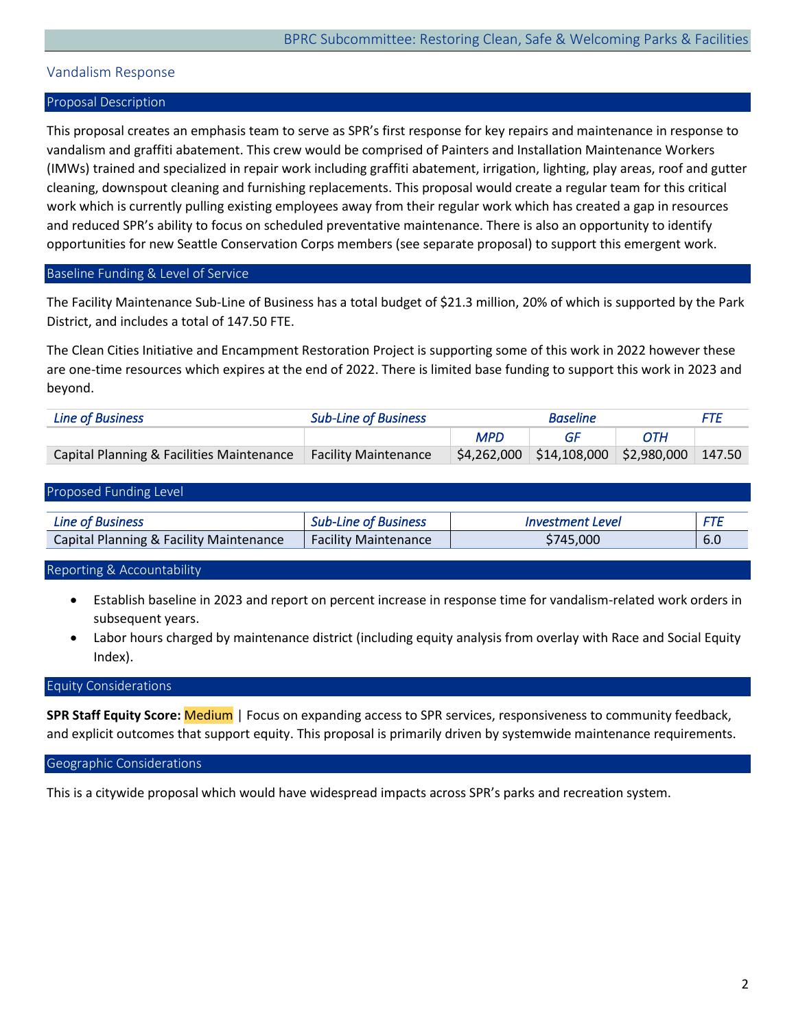# <span id="page-2-0"></span>Vandalism Response

#### Proposal Description

This proposal creates an emphasis team to serve as SPR's first response for key repairs and maintenance in response to vandalism and graffiti abatement. This crew would be comprised of Painters and Installation Maintenance Workers (IMWs) trained and specialized in repair work including graffiti abatement, irrigation, lighting, play areas, roof and gutter cleaning, downspout cleaning and furnishing replacements. This proposal would create a regular team for this critical work which is currently pulling existing employees away from their regular work which has created a gap in resources and reduced SPR's ability to focus on scheduled preventative maintenance. There is also an opportunity to identify opportunities for new Seattle Conservation Corps members (see separate proposal) to support this emergent work.

#### Baseline Funding & Level of Service

The Facility Maintenance Sub-Line of Business has a total budget of \$21.3 million, 20% of which is supported by the Park District, and includes a total of 147.50 FTE.

The Clean Cities Initiative and Encampment Restoration Project is supporting some of this work in 2022 however these are one-time resources which expires at the end of 2022. There is limited base funding to support this work in 2023 and beyond.

| Line of Business                          | <b>Sub-Line of Business</b> | <b>Baseline</b> |                                                           | FTF |  |
|-------------------------------------------|-----------------------------|-----------------|-----------------------------------------------------------|-----|--|
|                                           |                             | <b>MPD</b>      | GE                                                        | ОТН |  |
| Capital Planning & Facilities Maintenance | Facility Maintenance        |                 | $\frac{1}{2}$ \$4,262,000 \$14,108,000 \$2,980,000 147.50 |     |  |

#### Proposed Funding Level

| <b>Line of Business</b>                 | of Business :<br>- Jub-l<br>_ıne | ∟evel<br>stment ' |     |
|-----------------------------------------|----------------------------------|-------------------|-----|
| Capital Planning & Facility Maintenance | <b>Facility Maintenance</b>      | 745.000           | b.U |

#### Reporting & Accountability

- Establish baseline in 2023 and report on percent increase in response time for vandalism-related work orders in subsequent years.
- Labor hours charged by maintenance district (including equity analysis from overlay with Race and Social Equity Index).

#### Equity Considerations

**SPR Staff Equity Score:** Medium | Focus on expanding access to SPR services, responsiveness to community feedback, and explicit outcomes that support equity. This proposal is primarily driven by systemwide maintenance requirements.

#### Geographic Considerations

This is a citywide proposal which would have widespread impacts across SPR's parks and recreation system.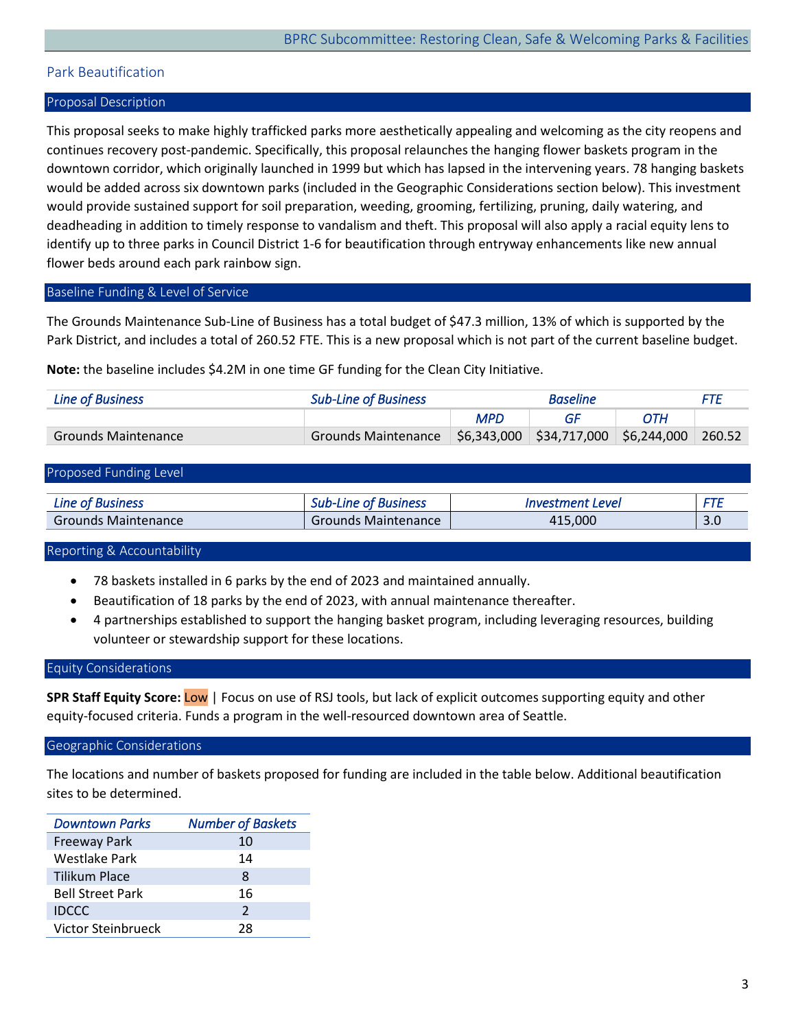# <span id="page-3-0"></span>Park Beautification

# Proposal Description

This proposal seeks to make highly trafficked parks more aesthetically appealing and welcoming as the city reopens and continues recovery post-pandemic. Specifically, this proposal relaunches the hanging flower baskets program in the downtown corridor, which originally launched in 1999 but which has lapsed in the intervening years. 78 hanging baskets would be added across six downtown parks (included in the Geographic Considerations section below). This investment would provide sustained support for soil preparation, weeding, grooming, fertilizing, pruning, daily watering, and deadheading in addition to timely response to vandalism and theft. This proposal will also apply a racial equity lens to identify up to three parks in Council District 1-6 for beautification through entryway enhancements like new annual flower beds around each park rainbow sign.

# Baseline Funding & Level of Service

The Grounds Maintenance Sub-Line of Business has a total budget of \$47.3 million, 13% of which is supported by the Park District, and includes a total of 260.52 FTE. This is a new proposal which is not part of the current baseline budget.

**Note:** the baseline includes \$4.2M in one time GF funding for the Clean City Initiative.

| Line of Business    | <b>Sub-Line of Business</b> | <b>Baseline</b> |                                                    | FTF |        |
|---------------------|-----------------------------|-----------------|----------------------------------------------------|-----|--------|
|                     |                             | <b>MPD</b>      |                                                    | ОТН |        |
| Grounds Maintenance | Grounds Maintenance         |                 | $\frac{1}{2}$ \$6,343,000 \$34,717,000 \$6,244,000 |     | 260.52 |

#### Proposed Funding Level

| <b>Line of Business</b>    | <b>Sub-Line of Business</b> | <i><b>Investment Level</b></i> | ET I         |
|----------------------------|-----------------------------|--------------------------------|--------------|
| <b>Grounds Maintenance</b> | Grounds Maintenance         | 415.000                        | $\mathbf{C}$ |

#### Reporting & Accountability

- 78 baskets installed in 6 parks by the end of 2023 and maintained annually.
- Beautification of 18 parks by the end of 2023, with annual maintenance thereafter.
- 4 partnerships established to support the hanging basket program, including leveraging resources, building volunteer or stewardship support for these locations.

#### Equity Considerations

**SPR Staff Equity Score:** Low | Focus on use of RSJ tools, but lack of explicit outcomes supporting equity and other equity-focused criteria. Funds a program in the well-resourced downtown area of Seattle.

#### Geographic Considerations

The locations and number of baskets proposed for funding are included in the table below. Additional beautification sites to be determined.

| Downtown Parks          | <b>Number of Baskets</b> |
|-------------------------|--------------------------|
| <b>Freeway Park</b>     | 10                       |
| Westlake Park           | 14                       |
| Tilikum Place           | 8                        |
| <b>Bell Street Park</b> | 16                       |
| <b>IDCCC</b>            | $\mathcal{P}$            |
| Victor Steinbrueck      | 28                       |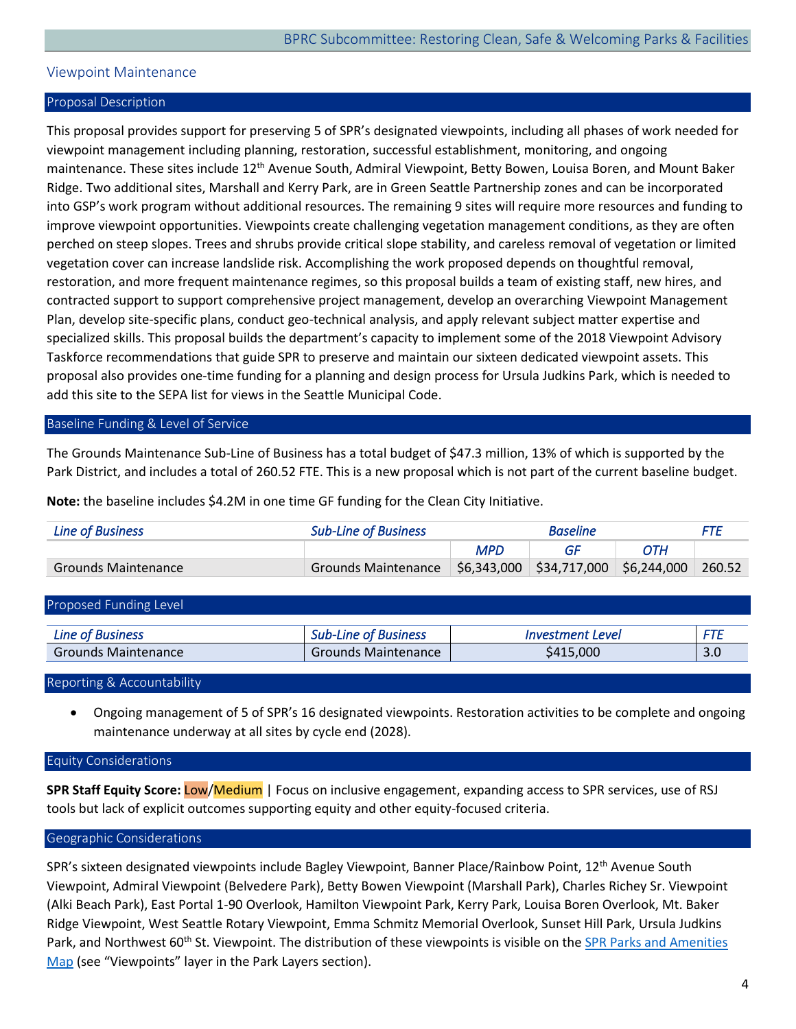# <span id="page-4-0"></span>Viewpoint Maintenance

#### Proposal Description

This proposal provides support for preserving 5 of SPR's designated viewpoints, including all phases of work needed for viewpoint management including planning, restoration, successful establishment, monitoring, and ongoing maintenance. These sites include 12<sup>th</sup> Avenue South, Admiral Viewpoint, Betty Bowen, Louisa Boren, and Mount Baker Ridge. Two additional sites, Marshall and Kerry Park, are in Green Seattle Partnership zones and can be incorporated into GSP's work program without additional resources. The remaining 9 sites will require more resources and funding to improve viewpoint opportunities. Viewpoints create challenging vegetation management conditions, as they are often perched on steep slopes. Trees and shrubs provide critical slope stability, and careless removal of vegetation or limited vegetation cover can increase landslide risk. Accomplishing the work proposed depends on thoughtful removal, restoration, and more frequent maintenance regimes, so this proposal builds a team of existing staff, new hires, and contracted support to support comprehensive project management, develop an overarching Viewpoint Management Plan, develop site-specific plans, conduct geo-technical analysis, and apply relevant subject matter expertise and specialized skills. This proposal builds the department's capacity to implement some of the 2018 Viewpoint Advisory Taskforce recommendations that guide SPR to preserve and maintain our sixteen dedicated viewpoint assets. This proposal also provides one-time funding for a planning and design process for Ursula Judkins Park, which is needed to add this site to the SEPA list for views in the Seattle Municipal Code.

### Baseline Funding & Level of Service

The Grounds Maintenance Sub-Line of Business has a total budget of \$47.3 million, 13% of which is supported by the Park District, and includes a total of 260.52 FTE. This is a new proposal which is not part of the current baseline budget.

**Note:** the baseline includes \$4.2M in one time GF funding for the Clean City Initiative.

| Line of Business    | <b>Sub-Line of Business</b>                                    | <b>Baseline</b> |  |     |        |
|---------------------|----------------------------------------------------------------|-----------------|--|-----|--------|
|                     |                                                                | <b>MPD</b>      |  | ОТН |        |
| Grounds Maintenance | Grounds Maintenance   \$6,343,000   \$34,717,000   \$6,244,000 |                 |  |     | 260.52 |

| Proposed Funding Level     |                             |                         |     |
|----------------------------|-----------------------------|-------------------------|-----|
| <b>Line of Business</b>    | <b>Sub-Line of Business</b> | <i>Investment Level</i> | FTE |
| <b>Grounds Maintenance</b> | Grounds Maintenance         | \$415,000               | 3.0 |

Reporting & Accountability

• Ongoing management of 5 of SPR's 16 designated viewpoints. Restoration activities to be complete and ongoing maintenance underway at all sites by cycle end (2028).

Equity Considerations

**SPR Staff Equity Score:** Low/Medium | Focus on inclusive engagement, expanding access to SPR services, use of RSJ tools but lack of explicit outcomes supporting equity and other equity-focused criteria.

# Geographic Considerations

SPR's sixteen designated viewpoints include Bagley Viewpoint, Banner Place/Rainbow Point, 12<sup>th</sup> Avenue South Viewpoint, Admiral Viewpoint (Belvedere Park), Betty Bowen Viewpoint (Marshall Park), Charles Richey Sr. Viewpoint (Alki Beach Park), East Portal 1-90 Overlook, Hamilton Viewpoint Park, Kerry Park, Louisa Boren Overlook, Mt. Baker Ridge Viewpoint, West Seattle Rotary Viewpoint, Emma Schmitz Memorial Overlook, Sunset Hill Park, Ursula Judkins Park, and Northwest 60<sup>th</sup> St. Viewpoint. The distribution of these viewpoints is visible on the SPR Parks and Amenities [Map](https://seattlecitygis.maps.arcgis.com/apps/instant/basic/index.html?appid=d2d97894f87c42e4b31ec14024d43775) (see "Viewpoints" layer in the Park Layers section).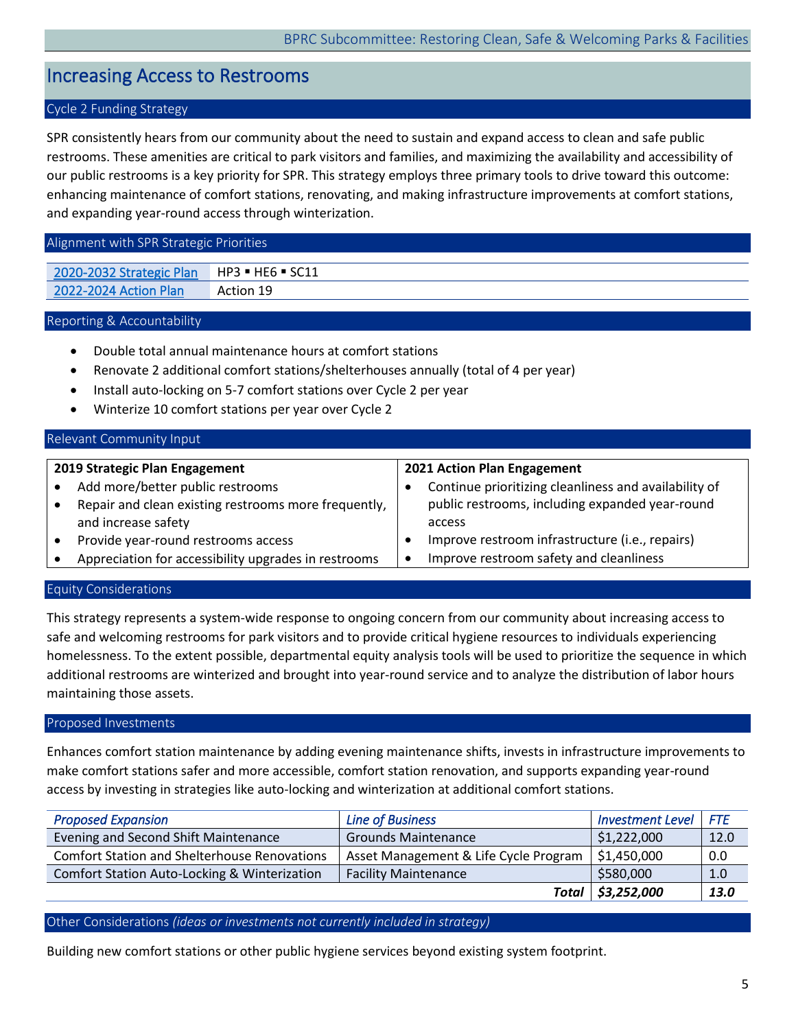# <span id="page-5-0"></span>Increasing Access to Restrooms

# Cycle 2 Funding Strategy

SPR consistently hears from our community about the need to sustain and expand access to clean and safe public restrooms. These amenities are critical to park visitors and families, and maximizing the availability and accessibility of our public restrooms is a key priority for SPR. This strategy employs three primary tools to drive toward this outcome: enhancing maintenance of comfort stations, renovating, and making infrastructure improvements at comfort stations, and expanding year-round access through winterization.

#### Alignment with SPR Strategic Priorities

[2020-2032 Strategic Plan](https://www.seattle.gov/Documents/Departments/ParksAndRecreation/PoliciesPlanning/SPR_Strategic_Plan.03.27.2020.pdf) HP3 · HE6 · SC11 [2022-2024 Action Plan](https://www.seattle.gov/Documents/Departments/ParksAndRecreation/BRPC/2022-2024%20Action%20Plan_031022.pdf) Action 19

#### Reporting & Accountability

- Double total annual maintenance hours at comfort stations
- Renovate 2 additional comfort stations/shelterhouses annually (total of 4 per year)
- Install auto-locking on 5-7 comfort stations over Cycle 2 per year
- Winterize 10 comfort stations per year over Cycle 2

#### Relevant Community Input **2019 Strategic Plan Engagement** • Add more/better public restrooms • Repair and clean existing restrooms more frequently, and increase safety • Provide year-round restrooms access • Appreciation for accessibility upgrades in restrooms **2021 Action Plan Engagement** • Continue prioritizing cleanliness and availability of public restrooms, including expanded year-round access • Improve restroom infrastructure (i.e., repairs) • Improve restroom safety and cleanliness

#### Equity Considerations

This strategy represents a system-wide response to ongoing concern from our community about increasing access to safe and welcoming restrooms for park visitors and to provide critical hygiene resources to individuals experiencing homelessness. To the extent possible, departmental equity analysis tools will be used to prioritize the sequence in which additional restrooms are winterized and brought into year-round service and to analyze the distribution of labor hours maintaining those assets.

#### Proposed Investments

Enhances comfort station maintenance by adding evening maintenance shifts, invests in infrastructure improvements to make comfort stations safer and more accessible, comfort station renovation, and supports expanding year-round access by investing in strategies like auto-locking and winterization at additional comfort stations.

| <b>Proposed Expansion</b>                           | <b>Line of Business</b>               | <b>Investment Level</b> | <b>FTF</b> |
|-----------------------------------------------------|---------------------------------------|-------------------------|------------|
| Evening and Second Shift Maintenance                | <b>Grounds Maintenance</b>            | \$1,222,000             | 12.0       |
| <b>Comfort Station and Shelterhouse Renovations</b> | Asset Management & Life Cycle Program | \$1,450,000             | 0.0        |
| Comfort Station Auto-Locking & Winterization        | <b>Facility Maintenance</b>           | \$580,000               | 1.0        |
|                                                     |                                       | Total   \$3,252,000     | 13.0       |

#### Other Considerations *(ideas or investments not currently included in strategy)*

Building new comfort stations or other public hygiene services beyond existing system footprint.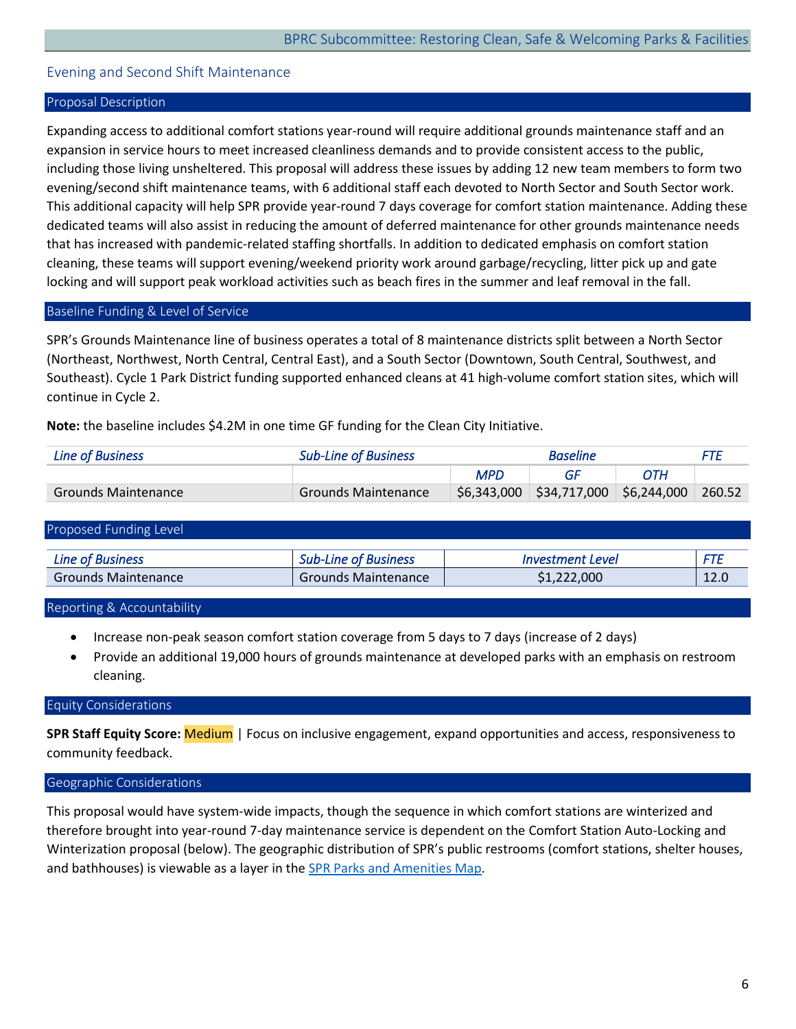# <span id="page-6-0"></span>Evening and Second Shift Maintenance

#### Proposal Description

Expanding access to additional comfort stations year-round will require additional grounds maintenance staff and an expansion in service hours to meet increased cleanliness demands and to provide consistent access to the public, including those living unsheltered. This proposal will address these issues by adding 12 new team members to form two evening/second shift maintenance teams, with 6 additional staff each devoted to North Sector and South Sector work. This additional capacity will help SPR provide year-round 7 days coverage for comfort station maintenance. Adding these dedicated teams will also assist in reducing the amount of deferred maintenance for other grounds maintenance needs that has increased with pandemic-related staffing shortfalls. In addition to dedicated emphasis on comfort station cleaning, these teams will support evening/weekend priority work around garbage/recycling, litter pick up and gate locking and will support peak workload activities such as beach fires in the summer and leaf removal in the fall.

#### Baseline Funding & Level of Service

SPR's Grounds Maintenance line of business operates a total of 8 maintenance districts split between a North Sector (Northeast, Northwest, North Central, Central East), and a South Sector (Downtown, South Central, Southwest, and Southeast). Cycle 1 Park District funding supported enhanced cleans at 41 high-volume comfort station sites, which will continue in Cycle 2.

**Note:** the baseline includes \$4.2M in one time GF funding for the Clean City Initiative.

| Line of Business    | <b>Sub-Line of Business</b> | <b>Baseline</b> |                                         |     |        |
|---------------------|-----------------------------|-----------------|-----------------------------------------|-----|--------|
|                     |                             | <b>MPD</b>      | GE                                      | ОТН |        |
| Grounds Maintenance | Grounds Maintenance         |                 | $$6,343,000$ $$34,717,000$ $$6,244,000$ |     | 260.52 |

#### Proposed Funding Level

| ∟ıne        | <b>Business</b> | . Level    | ---    |
|-------------|-----------------|------------|--------|
| ,,,,,,      | . JUL           | Investment | 7 L    |
| Maintenance | Maintenance     | .000       | $\sim$ |
| Grounds     | Grounds         |            | 12.U   |

Reporting & Accountability

- Increase non-peak season comfort station coverage from 5 days to 7 days (increase of 2 days)
- Provide an additional 19,000 hours of grounds maintenance at developed parks with an emphasis on restroom cleaning.

# Equity Considerations

**SPR Staff Equity Score:** Medium | Focus on inclusive engagement, expand opportunities and access, responsiveness to community feedback.

#### Geographic Considerations

This proposal would have system-wide impacts, though the sequence in which comfort stations are winterized and therefore brought into year-round 7-day maintenance service is dependent on the Comfort Station Auto-Locking and Winterization proposal (below). The geographic distribution of SPR's public restrooms (comfort stations, shelter houses, and bathhouses) is viewable as a layer in th[e SPR Parks and Amenities Map.](https://seattlecitygis.maps.arcgis.com/apps/instant/basic/index.html?appid=d2d97894f87c42e4b31ec14024d43775)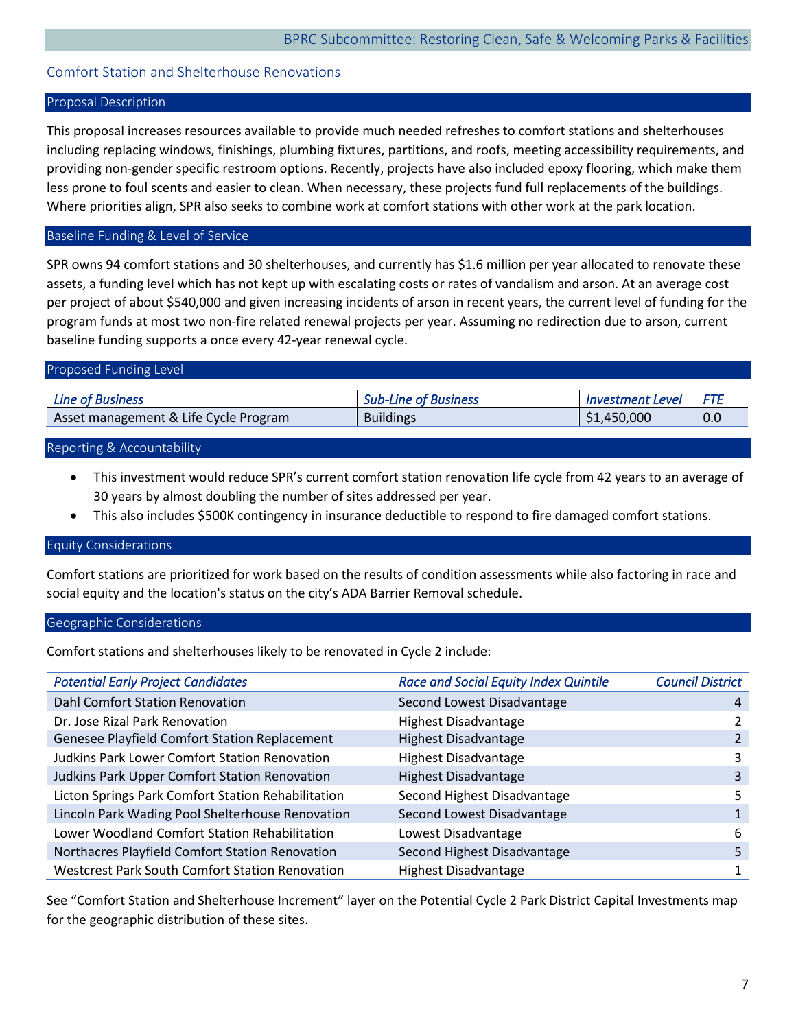# <span id="page-7-0"></span>Comfort Station and Shelterhouse Renovations

# Proposal Description

This proposal increases resources available to provide much needed refreshes to comfort stations and shelterhouses including replacing windows, finishings, plumbing fixtures, partitions, and roofs, meeting accessibility requirements, and providing non-gender specific restroom options. Recently, projects have also included epoxy flooring, which make them less prone to foul scents and easier to clean. When necessary, these projects fund full replacements of the buildings. Where priorities align, SPR also seeks to combine work at comfort stations with other work at the park location.

# Baseline Funding & Level of Service

SPR owns 94 comfort stations and 30 shelterhouses, and currently has \$1.6 million per year allocated to renovate these assets, a funding level which has not kept up with escalating costs or rates of vandalism and arson. At an average cost per project of about \$540,000 and given increasing incidents of arson in recent years, the current level of funding for the program funds at most two non-fire related renewal projects per year. Assuming no redirection due to arson, current baseline funding supports a once every 42-year renewal cycle.

| Proposed Funding Level                |                             |                         |            |
|---------------------------------------|-----------------------------|-------------------------|------------|
|                                       |                             |                         |            |
| Line of Business                      | <b>Sub-Line of Business</b> | <b>Investment Level</b> | <b>FTE</b> |
| Asset management & Life Cycle Program | <b>Buildings</b>            | \$1,450,000             | 0.0        |
|                                       |                             |                         |            |

#### Reporting & Accountability

- This investment would reduce SPR's current comfort station renovation life cycle from 42 years to an average of 30 years by almost doubling the number of sites addressed per year.
- This also includes \$500K contingency in insurance deductible to respond to fire damaged comfort stations.

# Equity Considerations

Comfort stations are prioritized for work based on the results of condition assessments while also factoring in race and social equity and the location's status on the city's ADA Barrier Removal schedule.

#### Geographic Considerations

Comfort stations and shelterhouses likely to be renovated in Cycle 2 include:

| <b>Potential Early Project Candidates</b>              | <b>Race and Social Equity Index Quintile</b> | <b>Council District</b> |
|--------------------------------------------------------|----------------------------------------------|-------------------------|
| Dahl Comfort Station Renovation                        | Second Lowest Disadvantage                   | 4                       |
| Dr. Jose Rizal Park Renovation                         | <b>Highest Disadvantage</b>                  |                         |
| Genesee Playfield Comfort Station Replacement          | <b>Highest Disadvantage</b>                  |                         |
| <b>Judkins Park Lower Comfort Station Renovation</b>   | <b>Highest Disadvantage</b>                  |                         |
| Judkins Park Upper Comfort Station Renovation          | <b>Highest Disadvantage</b>                  | 3                       |
| Licton Springs Park Comfort Station Rehabilitation     | Second Highest Disadvantage                  |                         |
| Lincoln Park Wading Pool Shelterhouse Renovation       | Second Lowest Disadvantage                   |                         |
| Lower Woodland Comfort Station Rehabilitation          | Lowest Disadvantage                          | 6                       |
| Northacres Playfield Comfort Station Renovation        | Second Highest Disadvantage                  | 5                       |
| <b>Westcrest Park South Comfort Station Renovation</b> | <b>Highest Disadvantage</b>                  |                         |

See "Comfort Station and Shelterhouse Increment" layer on the Potential Cycle 2 Park District Capital Investments map for the geographic distribution of these sites.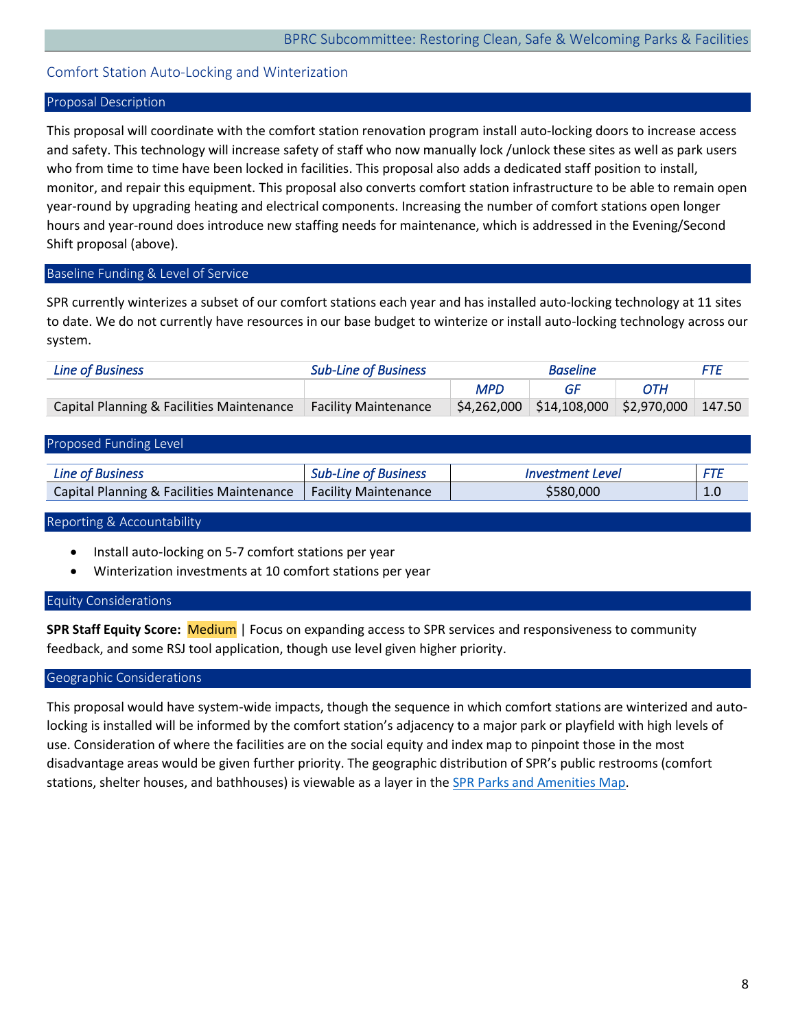# <span id="page-8-0"></span>Comfort Station Auto-Locking and Winterization

# Proposal Description

This proposal will coordinate with the comfort station renovation program install auto-locking doors to increase access and safety. This technology will increase safety of staff who now manually lock /unlock these sites as well as park users who from time to time have been locked in facilities. This proposal also adds a dedicated staff position to install, monitor, and repair this equipment. This proposal also converts comfort station infrastructure to be able to remain open year-round by upgrading heating and electrical components. Increasing the number of comfort stations open longer hours and year-round does introduce new staffing needs for maintenance, which is addressed in the Evening/Second Shift proposal (above).

#### Baseline Funding & Level of Service

SPR currently winterizes a subset of our comfort stations each year and has installed auto-locking technology at 11 sites to date. We do not currently have resources in our base budget to winterize or install auto-locking technology across our system.

| Line of Business                          | <b>Sub-Line of Business</b> | <b>Baseline</b> |                                                | FTF        |  |
|-------------------------------------------|-----------------------------|-----------------|------------------------------------------------|------------|--|
|                                           |                             | <b>MPD</b>      |                                                | <b>OTH</b> |  |
| Capital Planning & Facilities Maintenance | Facility Maintenance        |                 | $$4,262,000$ $$14,108,000$ $$2,970,000$ 147.50 |            |  |

#### Proposed Funding Level

| Line of Business                                                 | <b>Sub-Line of Business</b> | <i>Investment Level</i> |  |
|------------------------------------------------------------------|-----------------------------|-------------------------|--|
| Capital Planning & Facilities Maintenance   Facility Maintenance |                             | \$580,000               |  |

#### Reporting & Accountability

- Install auto-locking on 5-7 comfort stations per year
- Winterization investments at 10 comfort stations per year

#### Equity Considerations

**SPR Staff Equity Score:** Medium | Focus on expanding access to SPR services and responsiveness to community feedback, and some RSJ tool application, though use level given higher priority.

#### Geographic Considerations

This proposal would have system-wide impacts, though the sequence in which comfort stations are winterized and autolocking is installed will be informed by the comfort station's adjacency to a major park or playfield with high levels of use. Consideration of where the facilities are on the social equity and index map to pinpoint those in the most disadvantage areas would be given further priority. The geographic distribution of SPR's public restrooms (comfort stations, shelter houses, and bathhouses) is viewable as a layer in the **SPR Parks and Amenities Map**.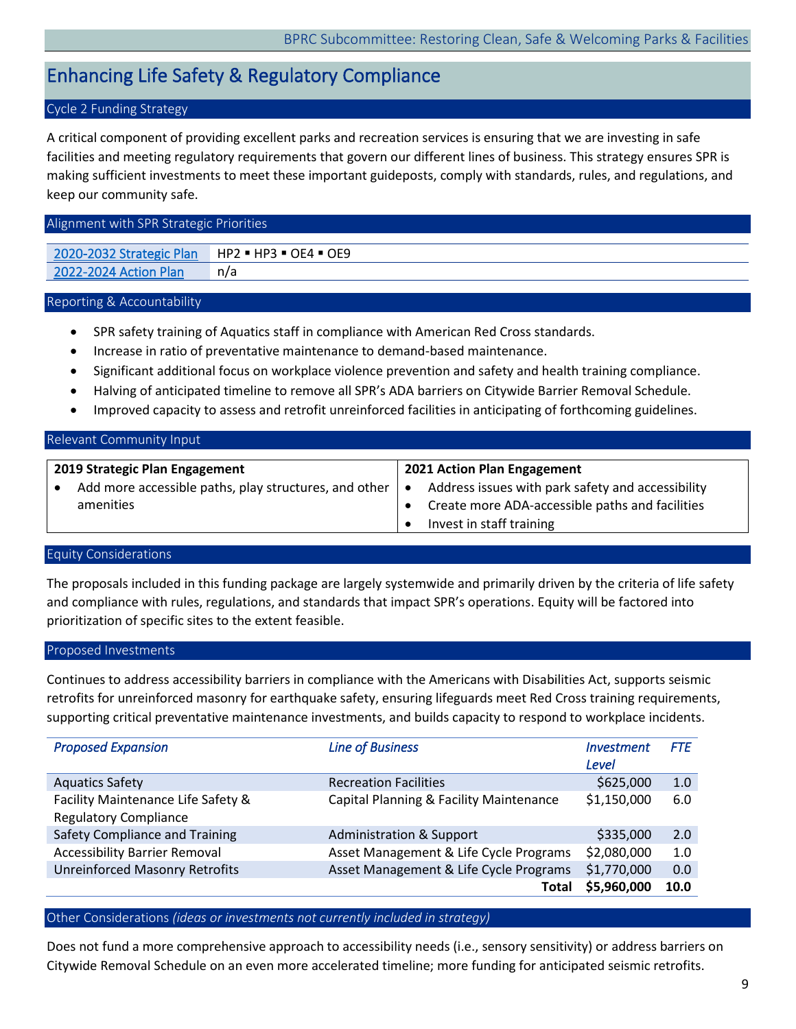# <span id="page-9-0"></span>Enhancing Life Safety & Regulatory Compliance

# Cycle 2 Funding Strategy

A critical component of providing excellent parks and recreation services is ensuring that we are investing in safe facilities and meeting regulatory requirements that govern our different lines of business. This strategy ensures SPR is making sufficient investments to meet these important guideposts, comply with standards, rules, and regulations, and keep our community safe.

#### Alignment with SPR Strategic Priorities

[2020-2032 Strategic Plan](https://www.seattle.gov/Documents/Departments/ParksAndRecreation/PoliciesPlanning/SPR_Strategic_Plan.03.27.2020.pdf) | HP2 · HP3 · OE4 · OE9 [2022-2024 Action Plan](https://www.seattle.gov/Documents/Departments/ParksAndRecreation/BRPC/2022-2024%20Action%20Plan_031022.pdf) n/a

#### Reporting & Accountability

- SPR safety training of Aquatics staff in compliance with American Red Cross standards.
- Increase in ratio of preventative maintenance to demand-based maintenance.
- Significant additional focus on workplace violence prevention and safety and health training compliance.
- Halving of anticipated timeline to remove all SPR's ADA barriers on Citywide Barrier Removal Schedule.
- Improved capacity to assess and retrofit unreinforced facilities in anticipating of forthcoming guidelines.

#### Relevant Community Input

| 2019 Strategic Plan Engagement                        | 2021 Action Plan Engagement                       |
|-------------------------------------------------------|---------------------------------------------------|
| Add more accessible paths, play structures, and other | Address issues with park safety and accessibility |
| amenities                                             | Create more ADA-accessible paths and facilities   |
|                                                       | Invest in staff training                          |

# Equity Considerations

The proposals included in this funding package are largely systemwide and primarily driven by the criteria of life safety and compliance with rules, regulations, and standards that impact SPR's operations. Equity will be factored into prioritization of specific sites to the extent feasible.

#### Proposed Investments

Continues to address accessibility barriers in compliance with the Americans with Disabilities Act, supports seismic retrofits for unreinforced masonry for earthquake safety, ensuring lifeguards meet Red Cross training requirements, supporting critical preventative maintenance investments, and builds capacity to respond to workplace incidents.

| <b>Proposed Expansion</b>                                          | <b>Line of Business</b>                 | <i><u><b>Investment</b></u></i><br>Level | <b>FTE</b> |
|--------------------------------------------------------------------|-----------------------------------------|------------------------------------------|------------|
| <b>Aquatics Safety</b>                                             | <b>Recreation Facilities</b>            | \$625,000                                | 1.0        |
| Facility Maintenance Life Safety &<br><b>Regulatory Compliance</b> | Capital Planning & Facility Maintenance | \$1,150,000                              | 6.0        |
| Safety Compliance and Training                                     | <b>Administration &amp; Support</b>     | \$335,000                                | 2.0        |
| <b>Accessibility Barrier Removal</b>                               | Asset Management & Life Cycle Programs  | \$2,080,000                              | 1.0        |
| <b>Unreinforced Masonry Retrofits</b>                              | Asset Management & Life Cycle Programs  | \$1,770,000                              | 0.0        |
|                                                                    | <b>Total</b>                            | \$5,960,000                              | 10.0       |

#### Other Considerations *(ideas or investments not currently included in strategy)*

Does not fund a more comprehensive approach to accessibility needs (i.e., sensory sensitivity) or address barriers on Citywide Removal Schedule on an even more accelerated timeline; more funding for anticipated seismic retrofits.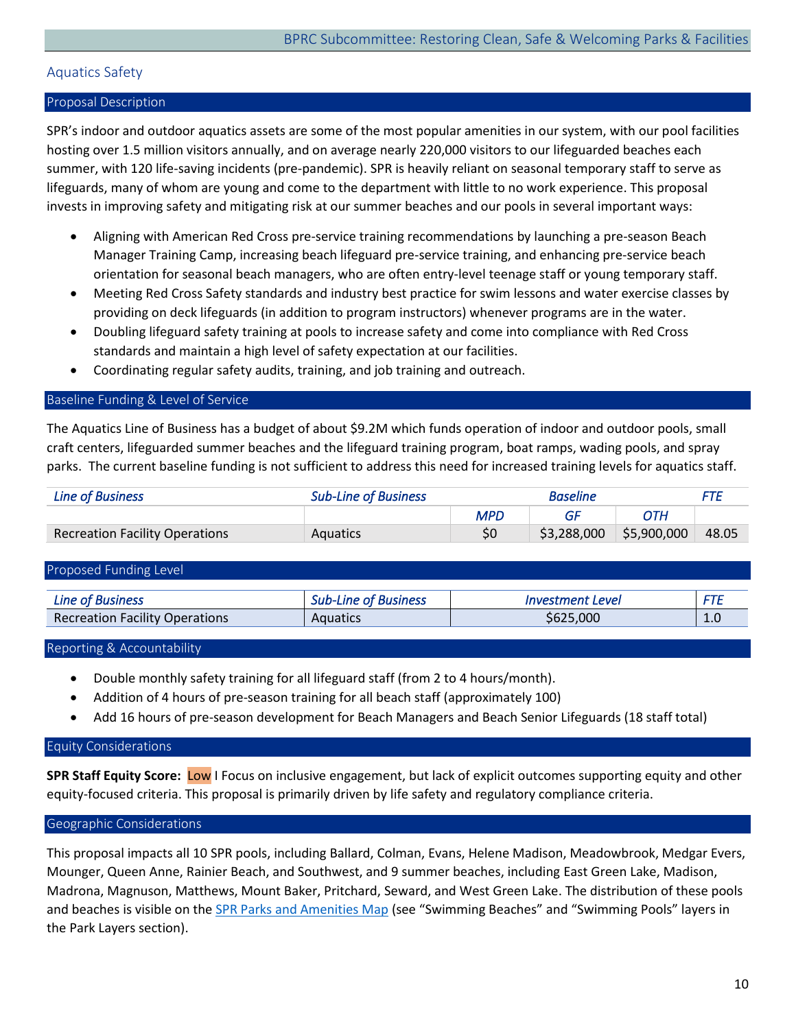# <span id="page-10-0"></span>Aquatics Safety

# Proposal Description

SPR's indoor and outdoor aquatics assets are some of the most popular amenities in our system, with our pool facilities hosting over 1.5 million visitors annually, and on average nearly 220,000 visitors to our lifeguarded beaches each summer, with 120 life-saving incidents (pre-pandemic). SPR is heavily reliant on seasonal temporary staff to serve as lifeguards, many of whom are young and come to the department with little to no work experience. This proposal invests in improving safety and mitigating risk at our summer beaches and our pools in several important ways:

- Aligning with American Red Cross pre-service training recommendations by launching a pre-season Beach Manager Training Camp, increasing beach lifeguard pre-service training, and enhancing pre-service beach orientation for seasonal beach managers, who are often entry-level teenage staff or young temporary staff.
- Meeting Red Cross Safety standards and industry best practice for swim lessons and water exercise classes by providing on deck lifeguards (in addition to program instructors) whenever programs are in the water.
- Doubling lifeguard safety training at pools to increase safety and come into compliance with Red Cross standards and maintain a high level of safety expectation at our facilities.
- Coordinating regular safety audits, training, and job training and outreach.

# Baseline Funding & Level of Service

The Aquatics Line of Business has a budget of about \$9.2M which funds operation of indoor and outdoor pools, small craft centers, lifeguarded summer beaches and the lifeguard training program, boat ramps, wading pools, and spray parks. The current baseline funding is not sufficient to address this need for increased training levels for aquatics staff.

| <b>Line of Business</b>               | <b>Sub-Line of Business</b> | <b>Baseline</b> |             | <i>FTF</i>  |       |
|---------------------------------------|-----------------------------|-----------------|-------------|-------------|-------|
|                                       |                             | <b>MPD</b>      |             | ОТН         |       |
| <b>Recreation Facility Operations</b> | <b>Aquatics</b>             | \$0             | \$3,288,000 | \$5,900,000 | 48.05 |

# Proposed Funding Level

| <b>Line of Business</b>               | : of Business<br>ا-ub-<br>une. | Level<br>stment i<br><i>INVPST</i> | <b>CTC</b>            |
|---------------------------------------|--------------------------------|------------------------------------|-----------------------|
| <b>Recreation Facility Operations</b> | Aquatics                       | .000<br>ヽゎノヽ                       | $\overline{ }$<br>1.U |

#### Reporting & Accountability

- Double monthly safety training for all lifeguard staff (from 2 to 4 hours/month).
- Addition of 4 hours of pre-season training for all beach staff (approximately 100)
- Add 16 hours of pre-season development for Beach Managers and Beach Senior Lifeguards (18 staff total)

# Equity Considerations

**SPR Staff Equity Score:** Low I Focus on inclusive engagement, but lack of explicit outcomes supporting equity and other equity-focused criteria. This proposal is primarily driven by life safety and regulatory compliance criteria.

#### Geographic Considerations

This proposal impacts all 10 SPR pools, including Ballard, Colman, Evans, Helene Madison, Meadowbrook, Medgar Evers, Mounger, Queen Anne, Rainier Beach, and Southwest, and 9 summer beaches, including East Green Lake, Madison, Madrona, Magnuson, Matthews, Mount Baker, Pritchard, Seward, and West Green Lake. The distribution of these pools and beaches is visible on the [SPR Parks and Amenities Map](https://seattlecitygis.maps.arcgis.com/apps/instant/basic/index.html?appid=d2d97894f87c42e4b31ec14024d43775) (see "Swimming Beaches" and "Swimming Pools" layers in the Park Layers section).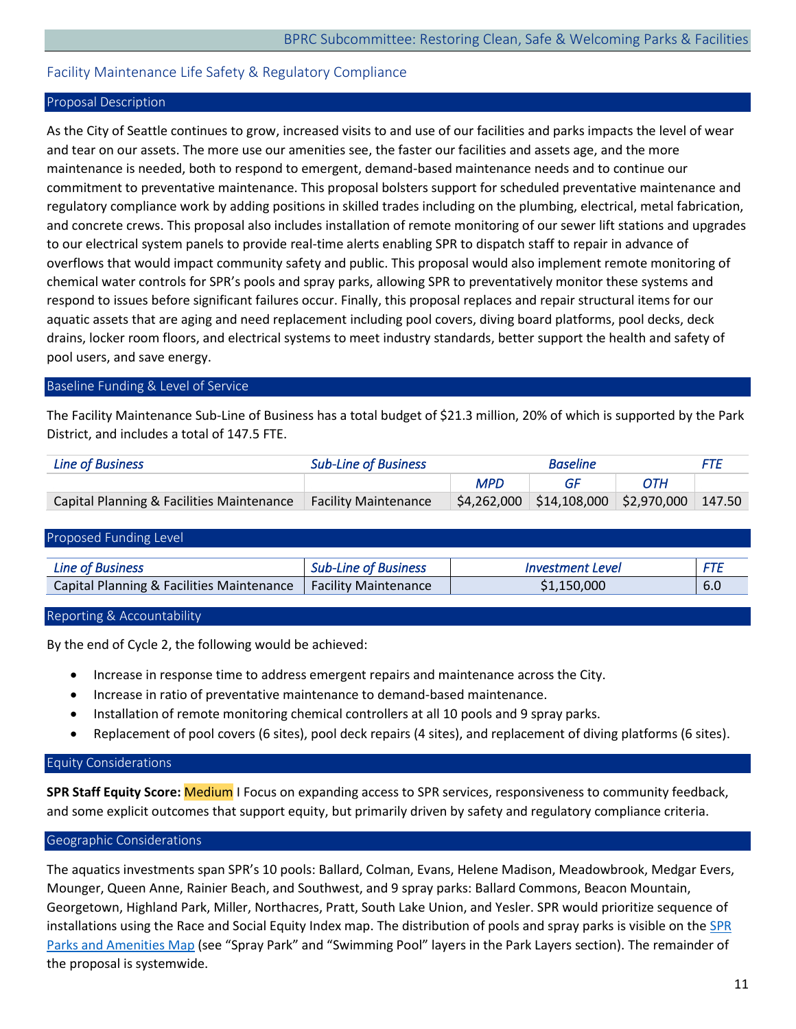# <span id="page-11-0"></span>Facility Maintenance Life Safety & Regulatory Compliance

#### Proposal Description

As the City of Seattle continues to grow, increased visits to and use of our facilities and parks impacts the level of wear and tear on our assets. The more use our amenities see, the faster our facilities and assets age, and the more maintenance is needed, both to respond to emergent, demand-based maintenance needs and to continue our commitment to preventative maintenance. This proposal bolsters support for scheduled preventative maintenance and regulatory compliance work by adding positions in skilled trades including on the plumbing, electrical, metal fabrication, and concrete crews. This proposal also includes installation of remote monitoring of our sewer lift stations and upgrades to our electrical system panels to provide real-time alerts enabling SPR to dispatch staff to repair in advance of overflows that would impact community safety and public. This proposal would also implement remote monitoring of chemical water controls for SPR's pools and spray parks, allowing SPR to preventatively monitor these systems and respond to issues before significant failures occur. Finally, this proposal replaces and repair structural items for our aquatic assets that are aging and need replacement including pool covers, diving board platforms, pool decks, deck drains, locker room floors, and electrical systems to meet industry standards, better support the health and safety of pool users, and save energy.

#### Baseline Funding & Level of Service

The Facility Maintenance Sub-Line of Business has a total budget of \$21.3 million, 20% of which is supported by the Park District, and includes a total of 147.5 FTE.

| <b>Line of Business</b>                   | <b>Sub-Line of Business</b> | <b>Baseline</b> |                                                                                       | <b>FTF</b> |  |
|-------------------------------------------|-----------------------------|-----------------|---------------------------------------------------------------------------------------|------------|--|
|                                           |                             | <b>MPD</b>      |                                                                                       | ОТН        |  |
| Capital Planning & Facilities Maintenance | <b>Facility Maintenance</b> |                 | $\frac{1}{2}$ \$4,262,000 $\frac{1}{2}$ \$14,108,000 $\frac{1}{2}$ \$2,970,000 147.50 |            |  |

| Proposed Funding Level                    |                             |                         |     |
|-------------------------------------------|-----------------------------|-------------------------|-----|
| <b>Line of Business</b>                   | <b>Sub-Line of Business</b> | <b>Investment Level</b> | FTE |
| Capital Planning & Facilities Maintenance | <b>Facility Maintenance</b> | \$1,150,000             | 6.0 |
|                                           |                             |                         |     |

#### Reporting & Accountability

By the end of Cycle 2, the following would be achieved:

- Increase in response time to address emergent repairs and maintenance across the City.
- Increase in ratio of preventative maintenance to demand-based maintenance.
- Installation of remote monitoring chemical controllers at all 10 pools and 9 spray parks.
- Replacement of pool covers (6 sites), pool deck repairs (4 sites), and replacement of diving platforms (6 sites).

# Equity Considerations

**SPR Staff Equity Score:** Medium I Focus on expanding access to SPR services, responsiveness to community feedback, and some explicit outcomes that support equity, but primarily driven by safety and regulatory compliance criteria.

# Geographic Considerations

The aquatics investments span SPR's 10 pools: Ballard, Colman, Evans, Helene Madison, Meadowbrook, Medgar Evers, Mounger, Queen Anne, Rainier Beach, and Southwest, and 9 spray parks: Ballard Commons, Beacon Mountain, Georgetown, Highland Park, Miller, Northacres, Pratt, South Lake Union, and Yesler. SPR would prioritize sequence of installations using the Race and Social Equity Index map. The distribution of pools and spray parks is visible on the SPR [Parks and Amenities Map](https://seattlecitygis.maps.arcgis.com/apps/instant/basic/index.html?appid=d2d97894f87c42e4b31ec14024d43775) (see "Spray Park" and "Swimming Pool" layers in the Park Layers section). The remainder of the proposal is systemwide.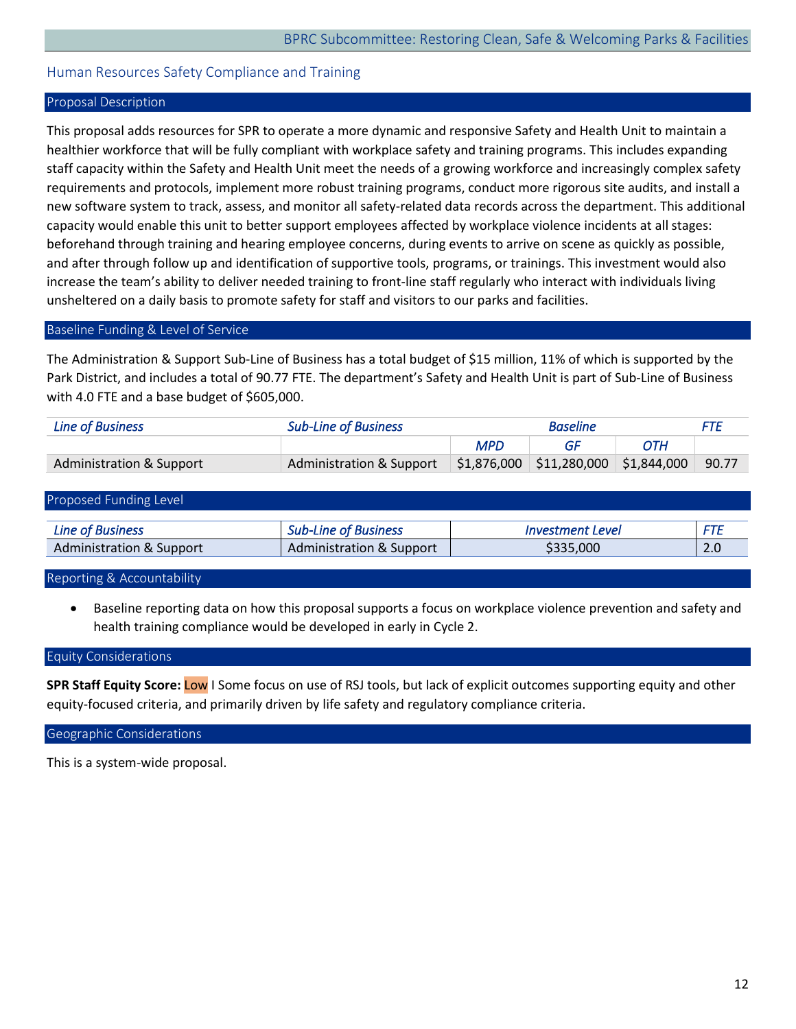# <span id="page-12-0"></span>Human Resources Safety Compliance and Training

#### Proposal Description

This proposal adds resources for SPR to operate a more dynamic and responsive Safety and Health Unit to maintain a healthier workforce that will be fully compliant with workplace safety and training programs. This includes expanding staff capacity within the Safety and Health Unit meet the needs of a growing workforce and increasingly complex safety requirements and protocols, implement more robust training programs, conduct more rigorous site audits, and install a new software system to track, assess, and monitor all safety-related data records across the department. This additional capacity would enable this unit to better support employees affected by workplace violence incidents at all stages: beforehand through training and hearing employee concerns, during events to arrive on scene as quickly as possible, and after through follow up and identification of supportive tools, programs, or trainings. This investment would also increase the team's ability to deliver needed training to front-line staff regularly who interact with individuals living unsheltered on a daily basis to promote safety for staff and visitors to our parks and facilities.

#### Baseline Funding & Level of Service

The Administration & Support Sub-Line of Business has a total budget of \$15 million, 11% of which is supported by the Park District, and includes a total of 90.77 FTE. The department's Safety and Health Unit is part of Sub-Line of Business with 4.0 FTE and a base budget of \$605,000.

| <b>Line of Business</b>  | <b>Sub-Line of Business</b> |            | <b>Baseline</b>                                    |     | FTF   |
|--------------------------|-----------------------------|------------|----------------------------------------------------|-----|-------|
|                          |                             | <b>MPD</b> |                                                    | ОТН |       |
| Administration & Support | Administration & Support    |            | $\frac{1}{2}$ \$1,876,000 \$11,280,000 \$1,844,000 |     | 90.77 |

| Proposed Funding Level   |                                     |                         |            |
|--------------------------|-------------------------------------|-------------------------|------------|
| <b>Line of Business</b>  | <b>Sub-Line of Business</b>         | <i>Investment Level</i> | <b>FTE</b> |
| Administration & Support | <b>Administration &amp; Support</b> | \$335,000               | 2.0        |

Reporting & Accountability

• Baseline reporting data on how this proposal supports a focus on workplace violence prevention and safety and health training compliance would be developed in early in Cycle 2.

#### Equity Considerations

**SPR Staff Equity Score:** Low I Some focus on use of RSJ tools, but lack of explicit outcomes supporting equity and other equity-focused criteria, and primarily driven by life safety and regulatory compliance criteria.

#### Geographic Considerations

This is a system-wide proposal.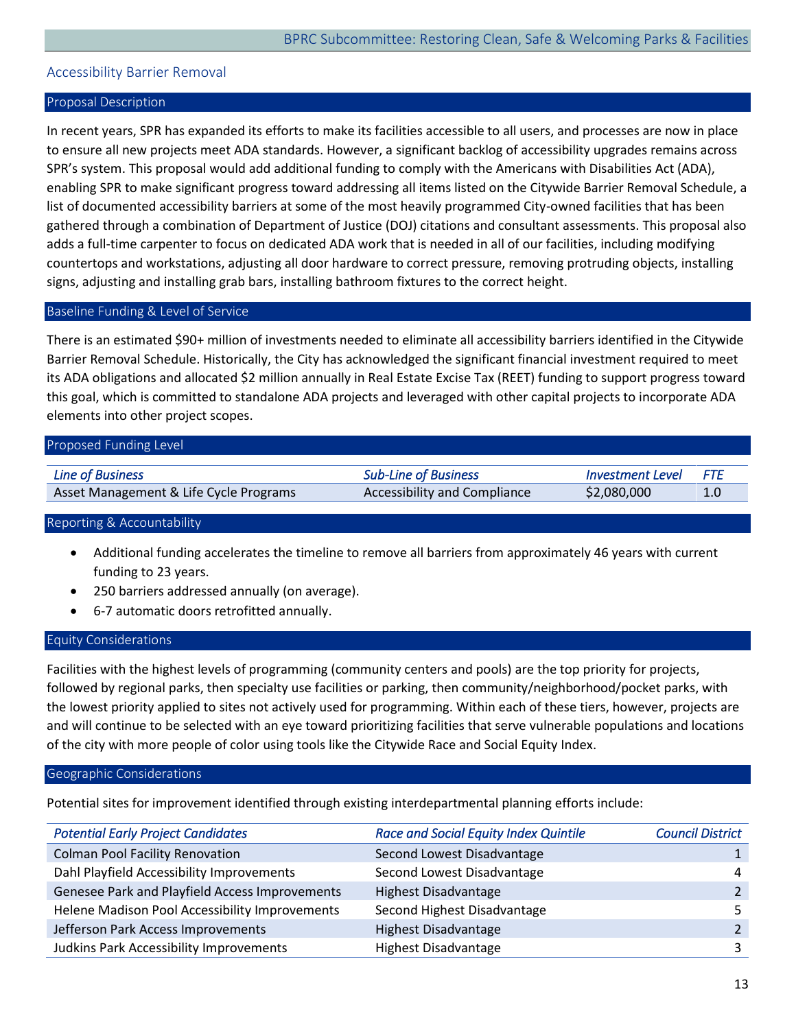# <span id="page-13-0"></span>Accessibility Barrier Removal

#### Proposal Description

In recent years, SPR has expanded its efforts to make its facilities accessible to all users, and processes are now in place to ensure all new projects meet ADA standards. However, a significant backlog of accessibility upgrades remains across SPR's system. This proposal would add additional funding to comply with the Americans with Disabilities Act (ADA), enabling SPR to make significant progress toward addressing all items listed on the Citywide Barrier Removal Schedule, a list of documented accessibility barriers at some of the most heavily programmed City-owned facilities that has been gathered through a combination of Department of Justice (DOJ) citations and consultant assessments. This proposal also adds a full-time carpenter to focus on dedicated ADA work that is needed in all of our facilities, including modifying countertops and workstations, adjusting all door hardware to correct pressure, removing protruding objects, installing signs, adjusting and installing grab bars, installing bathroom fixtures to the correct height.

#### Baseline Funding & Level of Service

There is an estimated \$90+ million of investments needed to eliminate all accessibility barriers identified in the Citywide Barrier Removal Schedule. Historically, the City has acknowledged the significant financial investment required to meet its ADA obligations and allocated \$2 million annually in Real Estate Excise Tax (REET) funding to support progress toward this goal, which is committed to standalone ADA projects and leveraged with other capital projects to incorporate ADA elements into other project scopes.

# Proposed Funding Level

| <b>Line of Business</b>                | <b>Sub-Line of Business</b>         | Investment Level | <b>FTF</b> |
|----------------------------------------|-------------------------------------|------------------|------------|
| Asset Management & Life Cycle Programs | <b>Accessibility and Compliance</b> | \$2,080,000      |            |

#### Reporting & Accountability

- Additional funding accelerates the timeline to remove all barriers from approximately 46 years with current funding to 23 years.
- 250 barriers addressed annually (on average).
- 6-7 automatic doors retrofitted annually.

# Equity Considerations

Facilities with the highest levels of programming (community centers and pools) are the top priority for projects, followed by regional parks, then specialty use facilities or parking, then community/neighborhood/pocket parks, with the lowest priority applied to sites not actively used for programming. Within each of these tiers, however, projects are and will continue to be selected with an eye toward prioritizing facilities that serve vulnerable populations and locations of the city with more people of color using tools like the Citywide Race and Social Equity Index.

#### Geographic Considerations

Potential sites for improvement identified through existing interdepartmental planning efforts include:

| <b>Potential Early Project Candidates</b>      | <b>Race and Social Equity Index Quintile</b> | <b>Council District</b> |
|------------------------------------------------|----------------------------------------------|-------------------------|
| <b>Colman Pool Facility Renovation</b>         | Second Lowest Disadvantage                   |                         |
| Dahl Playfield Accessibility Improvements      | Second Lowest Disadvantage                   | $\overline{4}$          |
| Genesee Park and Playfield Access Improvements | <b>Highest Disadvantage</b>                  |                         |
| Helene Madison Pool Accessibility Improvements | Second Highest Disadvantage                  |                         |
| Jefferson Park Access Improvements             | <b>Highest Disadvantage</b>                  |                         |
| Judkins Park Accessibility Improvements        | <b>Highest Disadvantage</b>                  |                         |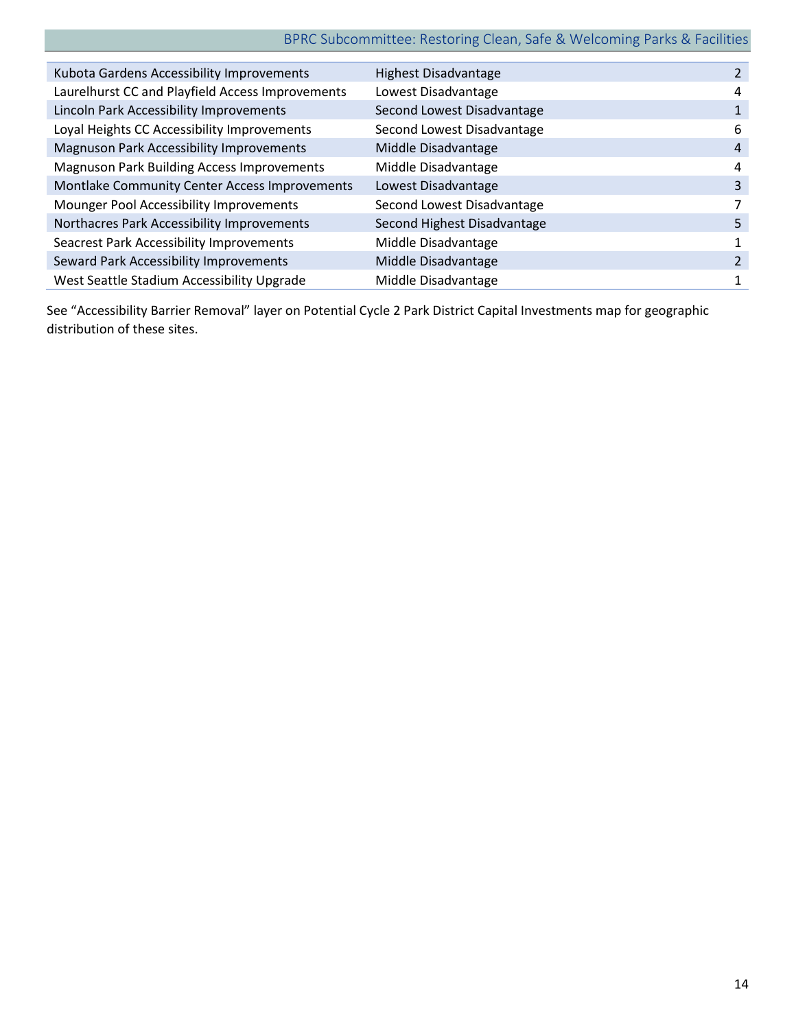# BPRC Subcommittee: Restoring Clean, Safe & Welcoming Parks & Facilities

| Kubota Gardens Accessibility Improvements         | <b>Highest Disadvantage</b> |   |
|---------------------------------------------------|-----------------------------|---|
| Laurelhurst CC and Playfield Access Improvements  | Lowest Disadvantage         | 4 |
| Lincoln Park Accessibility Improvements           | Second Lowest Disadvantage  |   |
| Loyal Heights CC Accessibility Improvements       | Second Lowest Disadvantage  | 6 |
| <b>Magnuson Park Accessibility Improvements</b>   | Middle Disadvantage         | 4 |
| <b>Magnuson Park Building Access Improvements</b> | Middle Disadvantage         | 4 |
| Montlake Community Center Access Improvements     | Lowest Disadvantage         | 3 |
| Mounger Pool Accessibility Improvements           | Second Lowest Disadvantage  |   |
| Northacres Park Accessibility Improvements        | Second Highest Disadvantage | 5 |
| <b>Seacrest Park Accessibility Improvements</b>   | Middle Disadvantage         |   |
| Seward Park Accessibility Improvements            | Middle Disadvantage         |   |
| West Seattle Stadium Accessibility Upgrade        | Middle Disadvantage         | 1 |

See "Accessibility Barrier Removal" layer on Potential Cycle 2 Park District Capital Investments map for geographic distribution of these sites.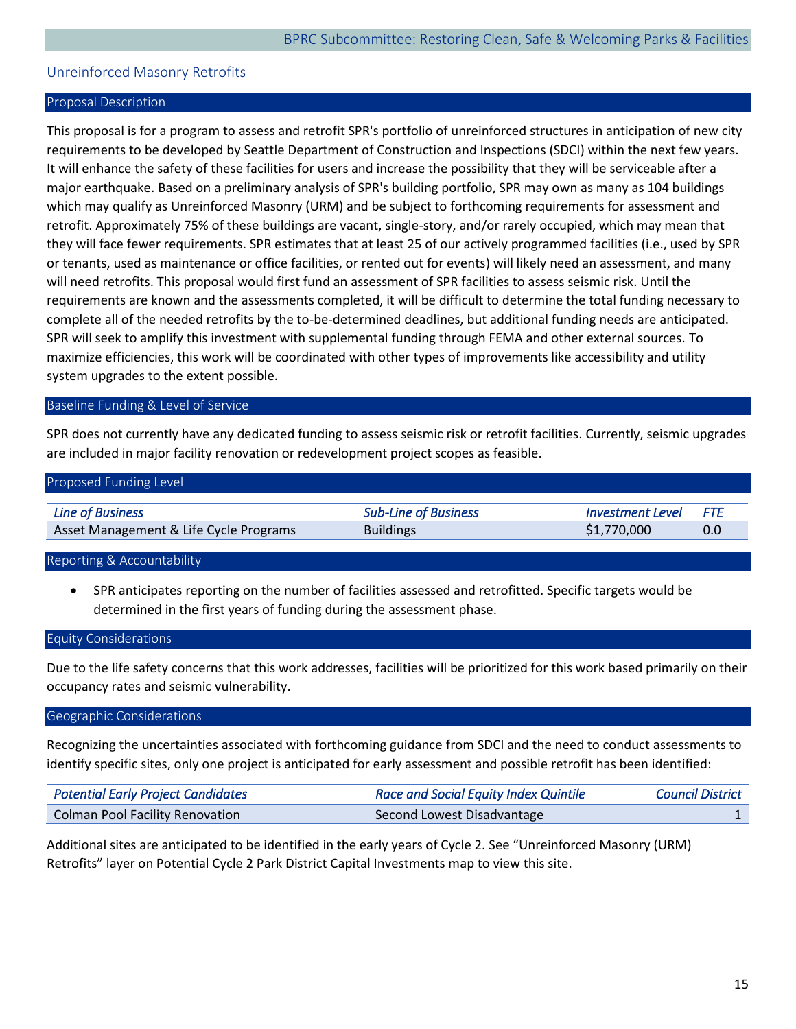# <span id="page-15-0"></span>Unreinforced Masonry Retrofits

#### Proposal Description

This proposal is for a program to assess and retrofit SPR's portfolio of unreinforced structures in anticipation of new city requirements to be developed by Seattle Department of Construction and Inspections (SDCI) within the next few years. It will enhance the safety of these facilities for users and increase the possibility that they will be serviceable after a major earthquake. Based on a preliminary analysis of SPR's building portfolio, SPR may own as many as 104 buildings which may qualify as Unreinforced Masonry (URM) and be subject to forthcoming requirements for assessment and retrofit. Approximately 75% of these buildings are vacant, single-story, and/or rarely occupied, which may mean that they will face fewer requirements. SPR estimates that at least 25 of our actively programmed facilities (i.e., used by SPR or tenants, used as maintenance or office facilities, or rented out for events) will likely need an assessment, and many will need retrofits. This proposal would first fund an assessment of SPR facilities to assess seismic risk. Until the requirements are known and the assessments completed, it will be difficult to determine the total funding necessary to complete all of the needed retrofits by the to-be-determined deadlines, but additional funding needs are anticipated. SPR will seek to amplify this investment with supplemental funding through FEMA and other external sources. To maximize efficiencies, this work will be coordinated with other types of improvements like accessibility and utility system upgrades to the extent possible.

#### Baseline Funding & Level of Service

SPR does not currently have any dedicated funding to assess seismic risk or retrofit facilities. Currently, seismic upgrades are included in major facility renovation or redevelopment project scopes as feasible.

| Proposed Funding Level                 |                             |                         |     |
|----------------------------------------|-----------------------------|-------------------------|-----|
|                                        |                             |                         |     |
| Line of Business                       | <b>Sub-Line of Business</b> | <b>Investment Level</b> | FTF |
| Asset Management & Life Cycle Programs | <b>Buildings</b>            | \$1,770,000             | 0.0 |

#### Reporting & Accountability

• SPR anticipates reporting on the number of facilities assessed and retrofitted. Specific targets would be determined in the first years of funding during the assessment phase.

#### Equity Considerations

Due to the life safety concerns that this work addresses, facilities will be prioritized for this work based primarily on their occupancy rates and seismic vulnerability.

#### Geographic Considerations

Recognizing the uncertainties associated with forthcoming guidance from SDCI and the need to conduct assessments to identify specific sites, only one project is anticipated for early assessment and possible retrofit has been identified:

| <b>Potential Early Project Candidates</b> | <b>Race and Social Equity Index Quintile</b> | <b>Council District</b> |
|-------------------------------------------|----------------------------------------------|-------------------------|
| <b>Colman Pool Facility Renovation</b>    | Second Lowest Disadvantage                   |                         |

Additional sites are anticipated to be identified in the early years of Cycle 2. See "Unreinforced Masonry (URM) Retrofits" layer on Potential Cycle 2 Park District Capital Investments map to view this site.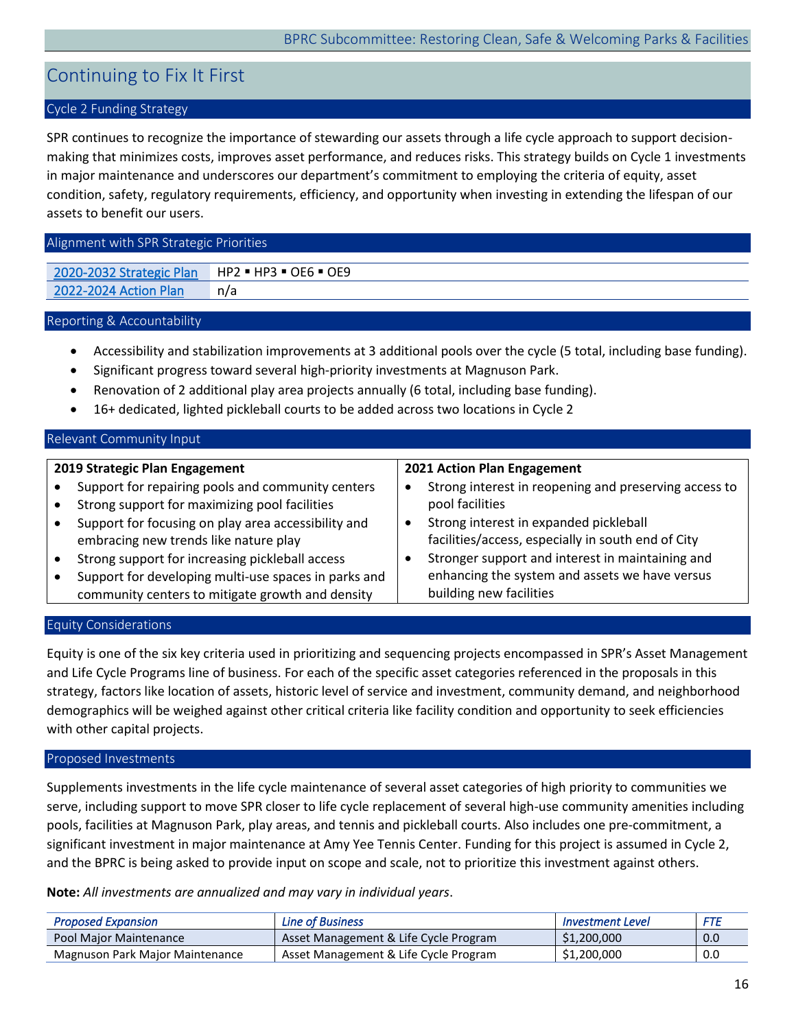# <span id="page-16-0"></span>Continuing to Fix It First

# Cycle 2 Funding Strategy

SPR continues to recognize the importance of stewarding our assets through a life cycle approach to support decisionmaking that minimizes costs, improves asset performance, and reduces risks. This strategy builds on Cycle 1 investments in major maintenance and underscores our department's commitment to employing the criteria of equity, asset condition, safety, regulatory requirements, efficiency, and opportunity when investing in extending the lifespan of our assets to benefit our users.

#### Alignment with SPR Strategic Priorities

[2020-2032 Strategic Plan](https://www.seattle.gov/Documents/Departments/ParksAndRecreation/PoliciesPlanning/SPR_Strategic_Plan.03.27.2020.pdf) HP2 = HP3 = OE6 = OE9 [2022-2024 Action Plan](https://www.seattle.gov/Documents/Departments/ParksAndRecreation/BRPC/2022-2024%20Action%20Plan_031022.pdf) n/a

#### Reporting & Accountability

- Accessibility and stabilization improvements at 3 additional pools over the cycle (5 total, including base funding).
- Significant progress toward several high-priority investments at Magnuson Park.
- Renovation of 2 additional play area projects annually (6 total, including base funding).
- 16+ dedicated, lighted pickleball courts to be added across two locations in Cycle 2

# Relevant Community Input

# **2019 Strategic Plan Engagement**

- Support for repairing pools and community centers
- Strong support for maximizing pool facilities
- Support for focusing on play area accessibility and embracing new trends like nature play
- Strong support for increasing pickleball access
- Support for developing multi-use spaces in parks and community centers to mitigate growth and density

#### **2021 Action Plan Engagement**

- Strong interest in reopening and preserving access to pool facilities
- Strong interest in expanded pickleball facilities/access, especially in south end of City
- Stronger support and interest in maintaining and enhancing the system and assets we have versus building new facilities

# Equity Considerations

Equity is one of the six key criteria used in prioritizing and sequencing projects encompassed in SPR's Asset Management and Life Cycle Programs line of business. For each of the specific asset categories referenced in the proposals in this strategy, factors like location of assets, historic level of service and investment, community demand, and neighborhood demographics will be weighed against other critical criteria like facility condition and opportunity to seek efficiencies with other capital projects.

#### Proposed Investments

Supplements investments in the life cycle maintenance of several asset categories of high priority to communities we serve, including support to move SPR closer to life cycle replacement of several high-use community amenities including pools, facilities at Magnuson Park, play areas, and tennis and pickleball courts. Also includes one pre-commitment, a significant investment in major maintenance at Amy Yee Tennis Center. Funding for this project is assumed in Cycle 2, and the BPRC is being asked to provide input on scope and scale, not to prioritize this investment against others.

**Note:** *All investments are annualized and may vary in individual years*.

| <b>Proposed Expansion</b>       | <b>Line of Business</b>               | <b>Investment Level</b> | FTE |
|---------------------------------|---------------------------------------|-------------------------|-----|
| Pool Maior Maintenance          | Asset Management & Life Cycle Program | \$1,200,000             | 0.0 |
| Magnuson Park Major Maintenance | Asset Management & Life Cycle Program | \$1,200,000             | 0.0 |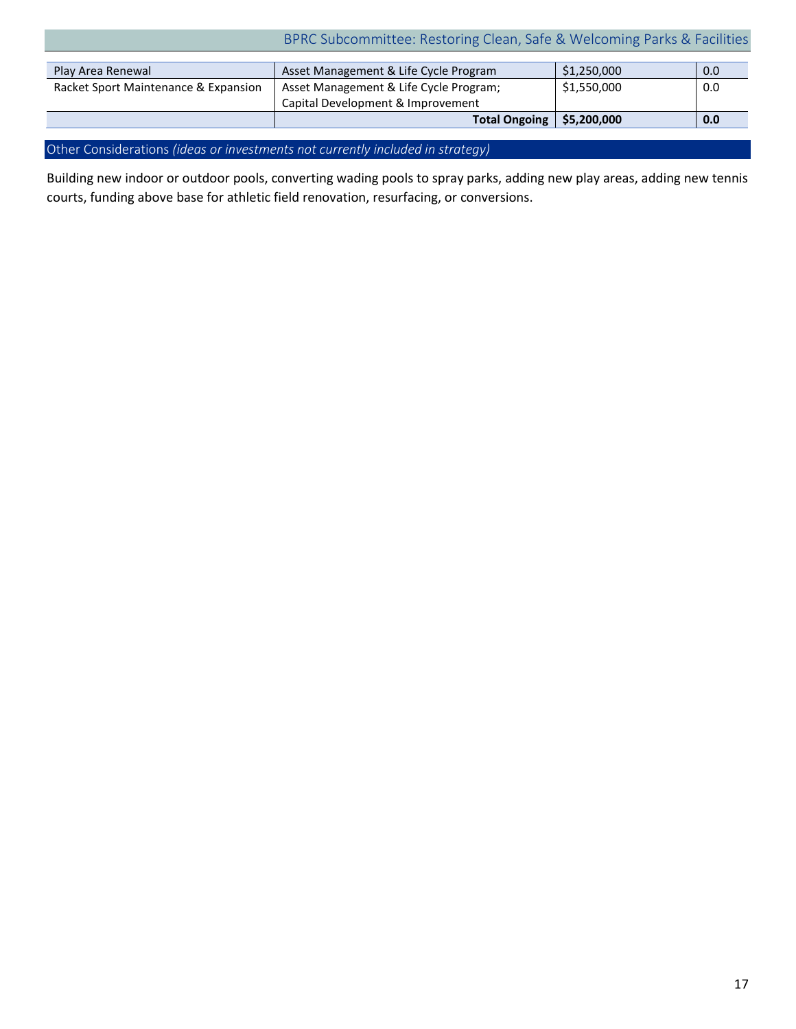# BPRC Subcommittee: Restoring Clean, Safe & Welcoming Parks & Facilities

| Play Area Renewal                    | Asset Management & Life Cycle Program  | \$1,250,000 | 0.0 |
|--------------------------------------|----------------------------------------|-------------|-----|
| Racket Sport Maintenance & Expansion | Asset Management & Life Cycle Program; | \$1,550,000 | 0.0 |
|                                      | Capital Development & Improvement      |             |     |
|                                      | Total Ongoing   \$5,200,000            |             | 0.0 |

Other Considerations *(ideas or investments not currently included in strategy)* 

Building new indoor or outdoor pools, converting wading pools to spray parks, adding new play areas, adding new tennis courts, funding above base for athletic field renovation, resurfacing, or conversions.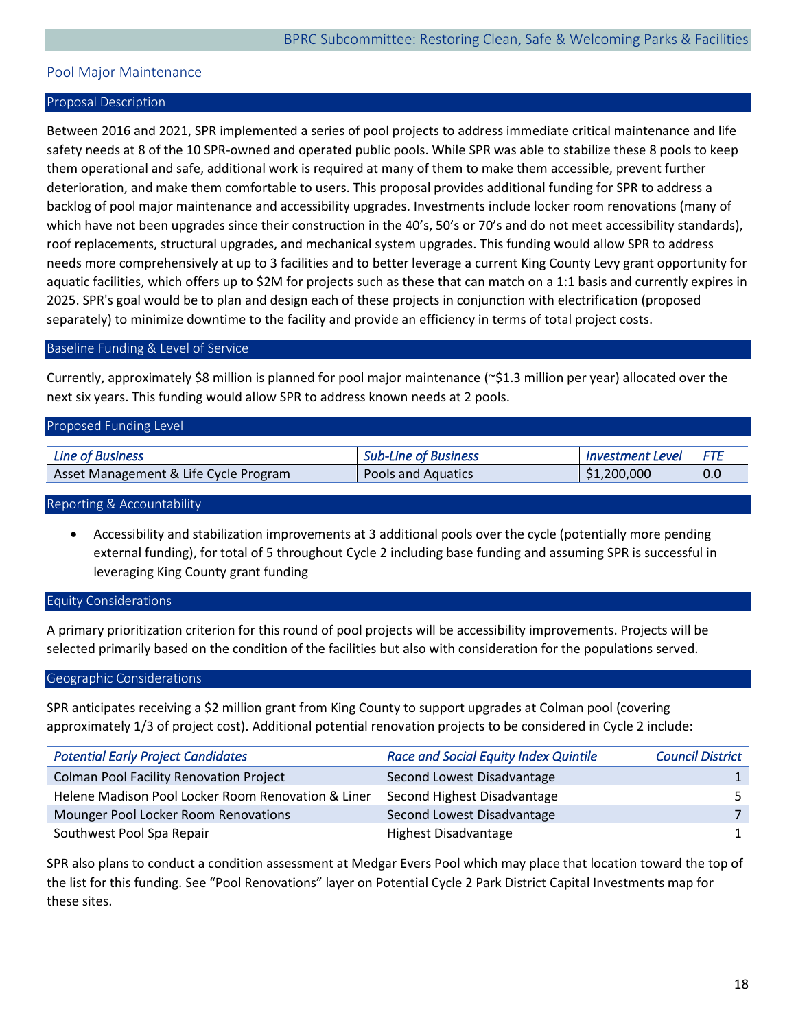# <span id="page-18-0"></span>Pool Major Maintenance

#### Proposal Description

Between 2016 and 2021, SPR implemented a series of pool projects to address immediate critical maintenance and life safety needs at 8 of the 10 SPR-owned and operated public pools. While SPR was able to stabilize these 8 pools to keep them operational and safe, additional work is required at many of them to make them accessible, prevent further deterioration, and make them comfortable to users. This proposal provides additional funding for SPR to address a backlog of pool major maintenance and accessibility upgrades. Investments include locker room renovations (many of which have not been upgrades since their construction in the 40's, 50's or 70's and do not meet accessibility standards), roof replacements, structural upgrades, and mechanical system upgrades. This funding would allow SPR to address needs more comprehensively at up to 3 facilities and to better leverage a current King County Levy grant opportunity for aquatic facilities, which offers up to \$2M for projects such as these that can match on a 1:1 basis and currently expires in 2025. SPR's goal would be to plan and design each of these projects in conjunction with electrification (proposed separately) to minimize downtime to the facility and provide an efficiency in terms of total project costs.

#### Baseline Funding & Level of Service

Currently, approximately \$8 million is planned for pool major maintenance (~\$1.3 million per year) allocated over the next six years. This funding would allow SPR to address known needs at 2 pools.

| Proposed Funding Level                |                             |                         |       |
|---------------------------------------|-----------------------------|-------------------------|-------|
| <b>Line of Business</b>               | <b>Sub-Line of Business</b> | <b>Investment Level</b> | I FTF |
| Asset Management & Life Cycle Program | <b>Pools and Aquatics</b>   | \$1,200,000             | 0.0   |

#### Reporting & Accountability

• Accessibility and stabilization improvements at 3 additional pools over the cycle (potentially more pending external funding), for total of 5 throughout Cycle 2 including base funding and assuming SPR is successful in leveraging King County grant funding

#### Equity Considerations

A primary prioritization criterion for this round of pool projects will be accessibility improvements. Projects will be selected primarily based on the condition of the facilities but also with consideration for the populations served.

#### Geographic Considerations

SPR anticipates receiving a \$2 million grant from King County to support upgrades at Colman pool (covering approximately 1/3 of project cost). Additional potential renovation projects to be considered in Cycle 2 include:

| <b>Potential Early Project Candidates</b>          | <b>Race and Social Equity Index Quintile</b> | <b>Council District</b> |
|----------------------------------------------------|----------------------------------------------|-------------------------|
| <b>Colman Pool Facility Renovation Project</b>     | Second Lowest Disadvantage                   |                         |
| Helene Madison Pool Locker Room Renovation & Liner | Second Highest Disadvantage                  |                         |
| Mounger Pool Locker Room Renovations               | Second Lowest Disadvantage                   |                         |
| Southwest Pool Spa Repair                          | Highest Disadvantage                         |                         |

SPR also plans to conduct a condition assessment at Medgar Evers Pool which may place that location toward the top of the list for this funding. See "Pool Renovations" layer on Potential Cycle 2 Park District Capital Investments map for these sites.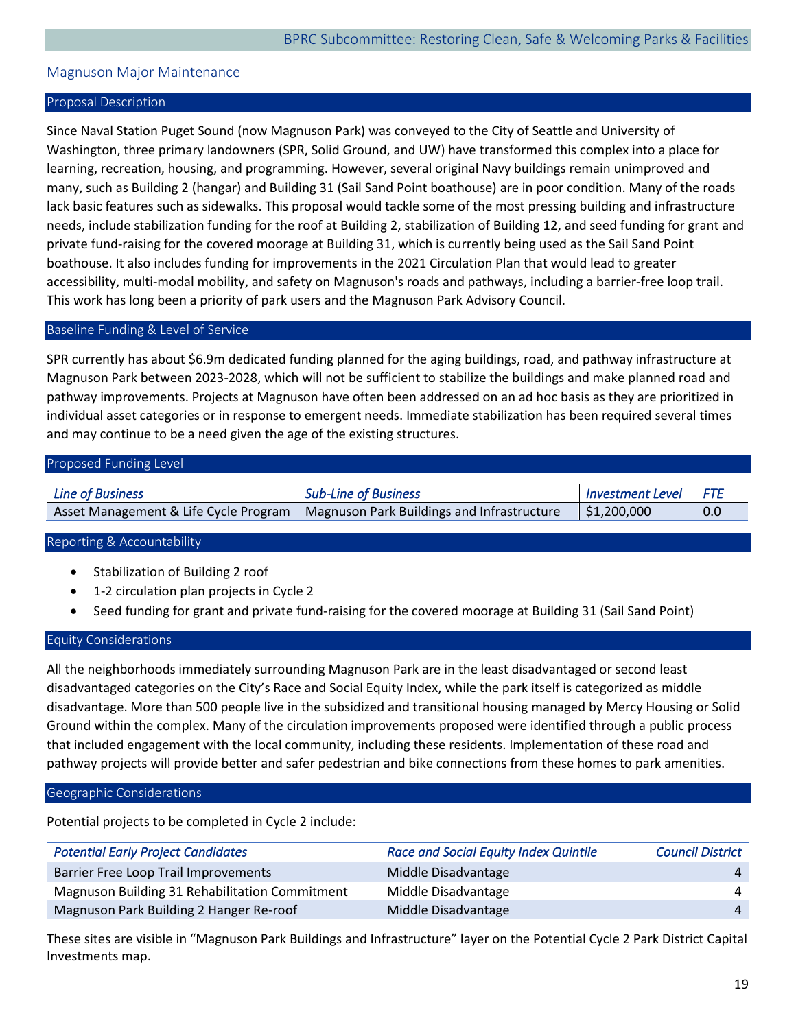# <span id="page-19-0"></span>Magnuson Major Maintenance

#### Proposal Description

Since Naval Station Puget Sound (now Magnuson Park) was conveyed to the City of Seattle and University of Washington, three primary landowners (SPR, Solid Ground, and UW) have transformed this complex into a place for learning, recreation, housing, and programming. However, several original Navy buildings remain unimproved and many, such as Building 2 (hangar) and Building 31 (Sail Sand Point boathouse) are in poor condition. Many of the roads lack basic features such as sidewalks. This proposal would tackle some of the most pressing building and infrastructure needs, include stabilization funding for the roof at Building 2, stabilization of Building 12, and seed funding for grant and private fund-raising for the covered moorage at Building 31, which is currently being used as the Sail Sand Point boathouse. It also includes funding for improvements in the 2021 Circulation Plan that would lead to greater accessibility, multi-modal mobility, and safety on Magnuson's roads and pathways, including a barrier-free loop trail. This work has long been a priority of park users and the Magnuson Park Advisory Council.

#### Baseline Funding & Level of Service

SPR currently has about \$6.9m dedicated funding planned for the aging buildings, road, and pathway infrastructure at Magnuson Park between 2023-2028, which will not be sufficient to stabilize the buildings and make planned road and pathway improvements. Projects at Magnuson have often been addressed on an ad hoc basis as they are prioritized in individual asset categories or in response to emergent needs. Immediate stabilization has been required several times and may continue to be a need given the age of the existing structures.

#### Proposed Funding Level

| Line of Business | <b>Sub-Line of Business</b>                                                        | Investment Level FTE |     |
|------------------|------------------------------------------------------------------------------------|----------------------|-----|
|                  | Asset Management & Life Cycle Program   Magnuson Park Buildings and Infrastructure | \$1,200,000          | 0.0 |

# Reporting & Accountability

- Stabilization of Building 2 roof
- 1-2 circulation plan projects in Cycle 2
- Seed funding for grant and private fund-raising for the covered moorage at Building 31 (Sail Sand Point)

#### Equity Considerations

All the neighborhoods immediately surrounding Magnuson Park are in the least disadvantaged or second least disadvantaged categories on the City's Race and Social Equity Index, while the park itself is categorized as middle disadvantage. More than 500 people live in the subsidized and transitional housing managed by Mercy Housing or Solid Ground within the complex. Many of the circulation improvements proposed were identified through a public process that included engagement with the local community, including these residents. Implementation of these road and pathway projects will provide better and safer pedestrian and bike connections from these homes to park amenities.

#### Geographic Considerations

Potential projects to be completed in Cycle 2 include:

| <b>Potential Early Project Candidates</b>      | <b>Race and Social Equity Index Quintile</b> | <b>Council District</b> |
|------------------------------------------------|----------------------------------------------|-------------------------|
| Barrier Free Loop Trail Improvements           | Middle Disadvantage                          | 4                       |
| Magnuson Building 31 Rehabilitation Commitment | Middle Disadvantage                          | 4                       |
| Magnuson Park Building 2 Hanger Re-roof        | Middle Disadvantage                          | 4                       |

These sites are visible in "Magnuson Park Buildings and Infrastructure" layer on the Potential Cycle 2 Park District Capital Investments map.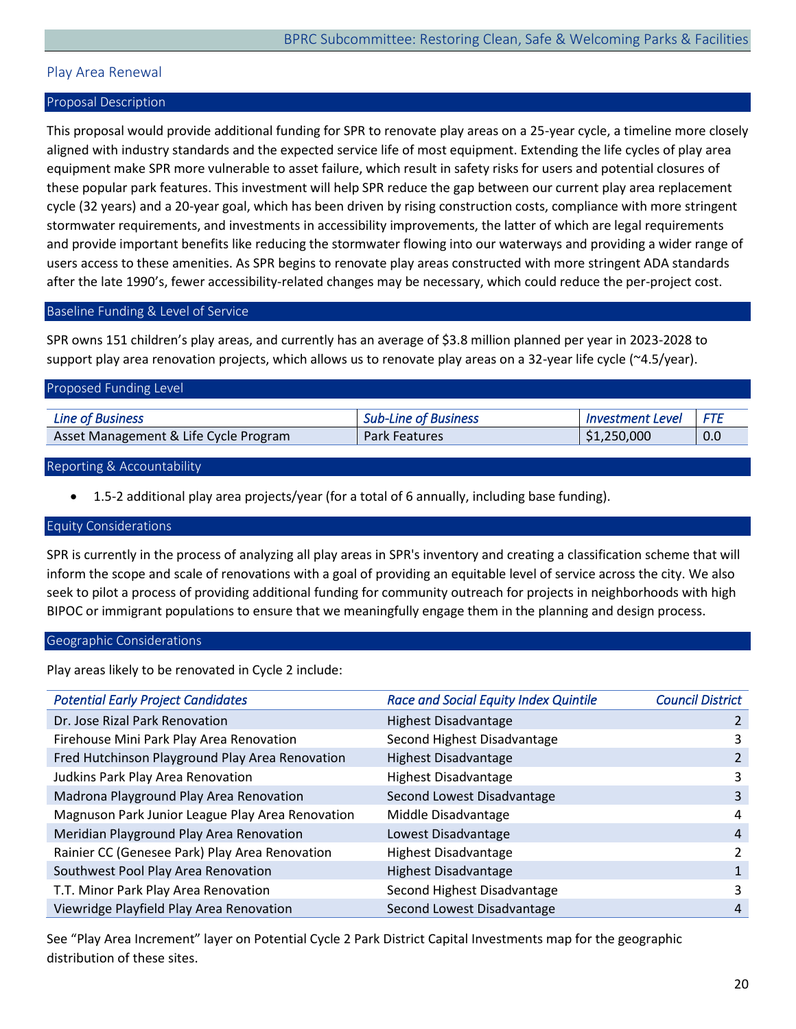# <span id="page-20-0"></span>Play Area Renewal

# Proposal Description

This proposal would provide additional funding for SPR to renovate play areas on a 25-year cycle, a timeline more closely aligned with industry standards and the expected service life of most equipment. Extending the life cycles of play area equipment make SPR more vulnerable to asset failure, which result in safety risks for users and potential closures of these popular park features. This investment will help SPR reduce the gap between our current play area replacement cycle (32 years) and a 20-year goal, which has been driven by rising construction costs, compliance with more stringent stormwater requirements, and investments in accessibility improvements, the latter of which are legal requirements and provide important benefits like reducing the stormwater flowing into our waterways and providing a wider range of users access to these amenities. As SPR begins to renovate play areas constructed with more stringent ADA standards after the late 1990's, fewer accessibility-related changes may be necessary, which could reduce the per-project cost.

#### Baseline Funding & Level of Service

SPR owns 151 children's play areas, and currently has an average of \$3.8 million planned per year in 2023-2028 to support play area renovation projects, which allows us to renovate play areas on a 32-year life cycle (~4.5/year).

| Proposed Funding Level                |                             |                         |     |  |  |  |
|---------------------------------------|-----------------------------|-------------------------|-----|--|--|--|
| <b>Line of Business</b>               | <b>Sub-Line of Business</b> | <b>Investment Level</b> | FTE |  |  |  |
| Asset Management & Life Cycle Program | <b>Park Features</b>        | \$1,250,000             | 0.0 |  |  |  |
|                                       |                             |                         |     |  |  |  |

#### Reporting & Accountability

• 1.5-2 additional play area projects/year (for a total of 6 annually, including base funding).

#### Equity Considerations

SPR is currently in the process of analyzing all play areas in SPR's inventory and creating a classification scheme that will inform the scope and scale of renovations with a goal of providing an equitable level of service across the city. We also seek to pilot a process of providing additional funding for community outreach for projects in neighborhoods with high BIPOC or immigrant populations to ensure that we meaningfully engage them in the planning and design process.

#### Geographic Considerations

Play areas likely to be renovated in Cycle 2 include:

| <b>Potential Early Project Candidates</b>        | <b>Race and Social Equity Index Quintile</b> | <b>Council District</b> |
|--------------------------------------------------|----------------------------------------------|-------------------------|
| Dr. Jose Rizal Park Renovation                   | <b>Highest Disadvantage</b>                  |                         |
| Firehouse Mini Park Play Area Renovation         | Second Highest Disadvantage                  | 3                       |
| Fred Hutchinson Playground Play Area Renovation  | <b>Highest Disadvantage</b>                  |                         |
| Judkins Park Play Area Renovation                | <b>Highest Disadvantage</b>                  | 3                       |
| Madrona Playground Play Area Renovation          | Second Lowest Disadvantage                   | 3                       |
| Magnuson Park Junior League Play Area Renovation | Middle Disadvantage                          | 4                       |
| Meridian Playground Play Area Renovation         | Lowest Disadvantage                          | 4                       |
| Rainier CC (Genesee Park) Play Area Renovation   | <b>Highest Disadvantage</b>                  | ำ                       |
| Southwest Pool Play Area Renovation              | <b>Highest Disadvantage</b>                  |                         |
| T.T. Minor Park Play Area Renovation             | Second Highest Disadvantage                  | 3                       |
| Viewridge Playfield Play Area Renovation         | Second Lowest Disadvantage                   | 4                       |

See "Play Area Increment" layer on Potential Cycle 2 Park District Capital Investments map for the geographic distribution of these sites.